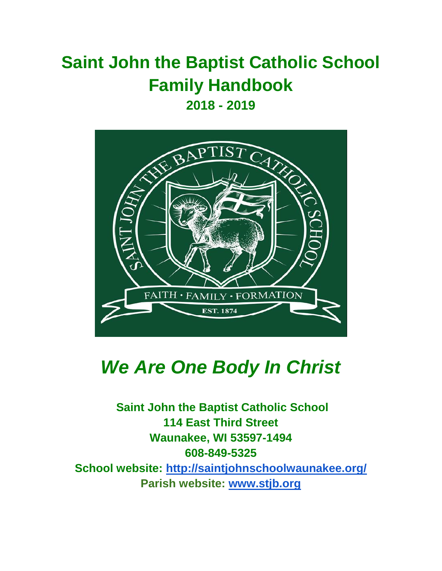# **Saint John the Baptist Catholic School Family Handbook**

**2018 - 2019**



## *We Are One Body In Christ*

**Saint John the Baptist Catholic School 114 East Third Street Waunakee, WI 53597-1494 608-849-5325 School website:<http://saintjohnschoolwaunakee.org/> Parish website: [www.stjb.org](http://www.stjb.org/)**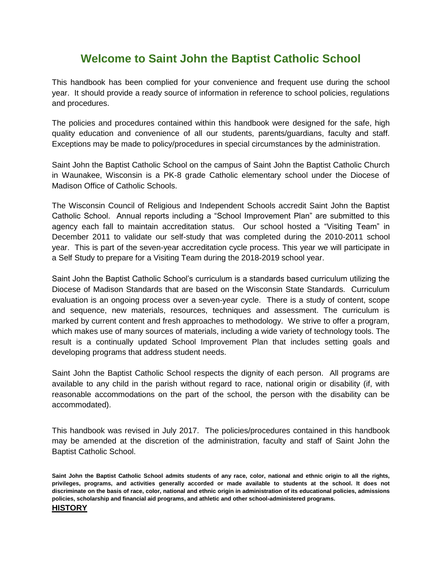## **Welcome to Saint John the Baptist Catholic School**

This handbook has been complied for your convenience and frequent use during the school year. It should provide a ready source of information in reference to school policies, regulations and procedures.

The policies and procedures contained within this handbook were designed for the safe, high quality education and convenience of all our students, parents/guardians, faculty and staff. Exceptions may be made to policy/procedures in special circumstances by the administration.

Saint John the Baptist Catholic School on the campus of Saint John the Baptist Catholic Church in Waunakee, Wisconsin is a PK-8 grade Catholic elementary school under the Diocese of Madison Office of Catholic Schools.

The Wisconsin Council of Religious and Independent Schools accredit Saint John the Baptist Catholic School. Annual reports including a "School Improvement Plan" are submitted to this agency each fall to maintain accreditation status. Our school hosted a "Visiting Team" in December 2011 to validate our self-study that was completed during the 2010-2011 school year. This is part of the seven-year accreditation cycle process. This year we will participate in a Self Study to prepare for a Visiting Team during the 2018-2019 school year.

Saint John the Baptist Catholic School's curriculum is a standards based curriculum utilizing the Diocese of Madison Standards that are based on the Wisconsin State Standards. Curriculum evaluation is an ongoing process over a seven-year cycle. There is a study of content, scope and sequence, new materials, resources, techniques and assessment. The curriculum is marked by current content and fresh approaches to methodology. We strive to offer a program, which makes use of many sources of materials, including a wide variety of technology tools. The result is a continually updated School Improvement Plan that includes setting goals and developing programs that address student needs.

Saint John the Baptist Catholic School respects the dignity of each person. All programs are available to any child in the parish without regard to race, national origin or disability (if, with reasonable accommodations on the part of the school, the person with the disability can be accommodated).

This handbook was revised in July 2017. The policies/procedures contained in this handbook may be amended at the discretion of the administration, faculty and staff of Saint John the Baptist Catholic School.

**Saint John the Baptist Catholic School admits students of any race, color, national and ethnic origin to all the rights, privileges, programs, and activities generally accorded or made available to students at the school. It does not discriminate on the basis of race, color, national and ethnic origin in administration of its educational policies, admissions policies, scholarship and financial aid programs, and athletic and other school-administered programs.**

#### **HISTORY**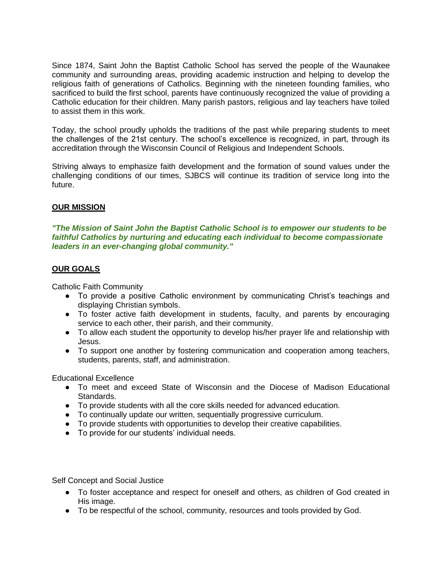Since 1874, Saint John the Baptist Catholic School has served the people of the Waunakee community and surrounding areas, providing academic instruction and helping to develop the religious faith of generations of Catholics. Beginning with the nineteen founding families, who sacrificed to build the first school, parents have continuously recognized the value of providing a Catholic education for their children. Many parish pastors, religious and lay teachers have toiled to assist them in this work.

Today, the school proudly upholds the traditions of the past while preparing students to meet the challenges of the 21st century. The school's excellence is recognized, in part, through its accreditation through the Wisconsin Council of Religious and Independent Schools.

Striving always to emphasize faith development and the formation of sound values under the challenging conditions of our times, SJBCS will continue its tradition of service long into the future.

#### **OUR MISSION**

*"The Mission of Saint John the Baptist Catholic School is to empower our students to be faithful Catholics by nurturing and educating each individual to become compassionate leaders in an ever-changing global community."*

#### **OUR GOALS**

Catholic Faith Community

- To provide a positive Catholic environment by communicating Christ's teachings and displaying Christian symbols.
- To foster active faith development in students, faculty, and parents by encouraging service to each other, their parish, and their community.
- To allow each student the opportunity to develop his/her prayer life and relationship with Jesus.
- To support one another by fostering communication and cooperation among teachers, students, parents, staff, and administration.

Educational Excellence

- To meet and exceed State of Wisconsin and the Diocese of Madison Educational Standards.
- To provide students with all the core skills needed for advanced education.
- To continually update our written, sequentially progressive curriculum.
- To provide students with opportunities to develop their creative capabilities.
- To provide for our students' individual needs.

Self Concept and Social Justice

- To foster acceptance and respect for oneself and others, as children of God created in His image.
- To be respectful of the school, community, resources and tools provided by God.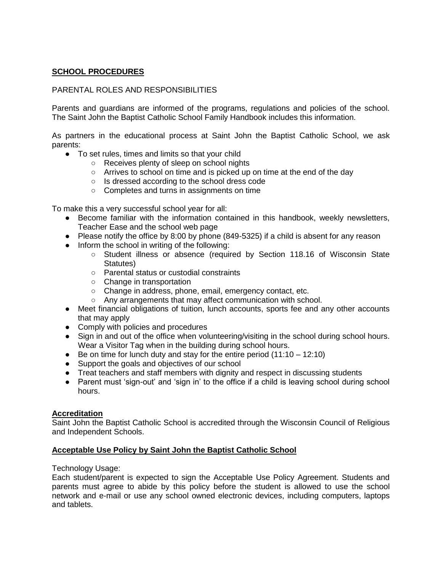#### **SCHOOL PROCEDURES**

#### PARENTAL ROLES AND RESPONSIBILITIES

Parents and guardians are informed of the programs, regulations and policies of the school. The Saint John the Baptist Catholic School Family Handbook includes this information.

As partners in the educational process at Saint John the Baptist Catholic School, we ask parents:

- To set rules, times and limits so that your child
	- Receives plenty of sleep on school nights
	- Arrives to school on time and is picked up on time at the end of the day
	- Is dressed according to the school dress code
	- Completes and turns in assignments on time

To make this a very successful school year for all:

- Become familiar with the information contained in this handbook, weekly newsletters, Teacher Ease and the school web page
- Please notify the office by 8:00 by phone (849-5325) if a child is absent for any reason
- Inform the school in writing of the following:
	- Student illness or absence (required by Section 118.16 of Wisconsin State Statutes)
	- Parental status or custodial constraints
	- Change in transportation
	- Change in address, phone, email, emergency contact, etc.
	- Any arrangements that may affect communication with school.
- Meet financial obligations of tuition, lunch accounts, sports fee and any other accounts that may apply
- Comply with policies and procedures
- Sign in and out of the office when volunteering/visiting in the school during school hours. Wear a Visitor Tag when in the building during school hours.
- $\bullet$  Be on time for lunch duty and stay for the entire period (11:10 12:10)
- Support the goals and objectives of our school
- Treat teachers and staff members with dignity and respect in discussing students
- Parent must 'sign-out' and 'sign in' to the office if a child is leaving school during school hours.

#### **Accreditation**

Saint John the Baptist Catholic School is accredited through the Wisconsin Council of Religious and Independent Schools.

#### **Acceptable Use Policy by Saint John the Baptist Catholic School**

#### Technology Usage:

Each student/parent is expected to sign the Acceptable Use Policy Agreement. Students and parents must agree to abide by this policy before the student is allowed to use the school network and e-mail or use any school owned electronic devices, including computers, laptops and tablets.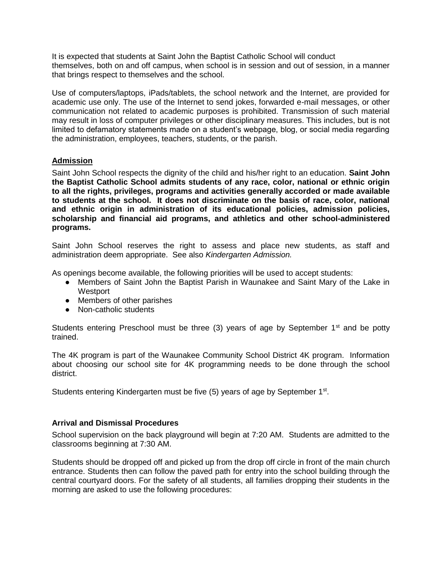It is expected that students at Saint John the Baptist Catholic School will conduct themselves, both on and off campus, when school is in session and out of session, in a manner that brings respect to themselves and the school.

Use of computers/laptops, iPads/tablets, the school network and the Internet, are provided for academic use only. The use of the Internet to send jokes, forwarded e-mail messages, or other communication not related to academic purposes is prohibited. Transmission of such material may result in loss of computer privileges or other disciplinary measures. This includes, but is not limited to defamatory statements made on a student's webpage, blog, or social media regarding the administration, employees, teachers, students, or the parish.

#### **Admission**

Saint John School respects the dignity of the child and his/her right to an education. **Saint John the Baptist Catholic School admits students of any race, color, national or ethnic origin to all the rights, privileges, programs and activities generally accorded or made available to students at the school. It does not discriminate on the basis of race, color, national and ethnic origin in administration of its educational policies, admission policies, scholarship and financial aid programs, and athletics and other school-administered programs.**

Saint John School reserves the right to assess and place new students, as staff and administration deem appropriate. See also *Kindergarten Admission.*

As openings become available, the following priorities will be used to accept students:

- Members of Saint John the Baptist Parish in Waunakee and Saint Mary of the Lake in **Westport**
- Members of other parishes
- Non-catholic students

Students entering Preschool must be three (3) years of age by September  $1<sup>st</sup>$  and be potty trained.

The 4K program is part of the Waunakee Community School District 4K program. Information about choosing our school site for 4K programming needs to be done through the school district.

Students entering Kindergarten must be five (5) years of age by September 1<sup>st</sup>.

#### **Arrival and Dismissal Procedures**

School supervision on the back playground will begin at 7:20 AM. Students are admitted to the classrooms beginning at 7:30 AM.

Students should be dropped off and picked up from the drop off circle in front of the main church entrance. Students then can follow the paved path for entry into the school building through the central courtyard doors. For the safety of all students, all families dropping their students in the morning are asked to use the following procedures: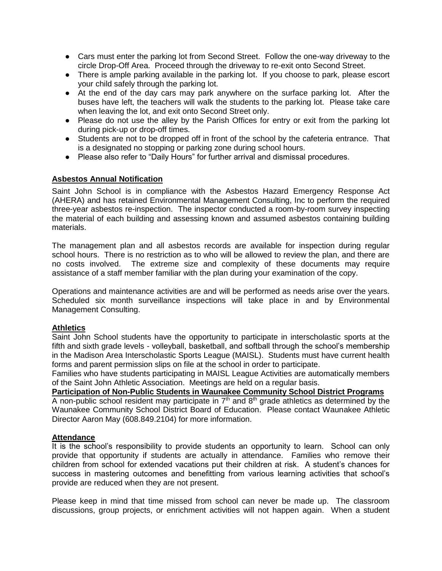- Cars must enter the parking lot from Second Street. Follow the one-way driveway to the circle Drop-Off Area. Proceed through the driveway to re-exit onto Second Street.
- There is ample parking available in the parking lot. If you choose to park, please escort your child safely through the parking lot.
- At the end of the day cars may park anywhere on the surface parking lot. After the buses have left, the teachers will walk the students to the parking lot. Please take care when leaving the lot, and exit onto Second Street only.
- Please do not use the alley by the Parish Offices for entry or exit from the parking lot during pick-up or drop-off times.
- Students are not to be dropped off in front of the school by the cafeteria entrance. That is a designated no stopping or parking zone during school hours.
- Please also refer to "Daily Hours" for further arrival and dismissal procedures.

#### **Asbestos Annual Notification**

Saint John School is in compliance with the Asbestos Hazard Emergency Response Act (AHERA) and has retained Environmental Management Consulting, Inc to perform the required three-year asbestos re-inspection. The inspector conducted a room-by-room survey inspecting the material of each building and assessing known and assumed asbestos containing building materials.

The management plan and all asbestos records are available for inspection during regular school hours. There is no restriction as to who will be allowed to review the plan, and there are no costs involved. The extreme size and complexity of these documents may require assistance of a staff member familiar with the plan during your examination of the copy.

Operations and maintenance activities are and will be performed as needs arise over the years. Scheduled six month surveillance inspections will take place in and by Environmental Management Consulting.

#### **Athletics**

Saint John School students have the opportunity to participate in interscholastic sports at the fifth and sixth grade levels - volleyball, basketball, and softball through the school's membership in the Madison Area Interscholastic Sports League (MAISL). Students must have current health forms and parent permission slips on file at the school in order to participate.

Families who have students participating in MAISL League Activities are automatically members of the Saint John Athletic Association. Meetings are held on a regular basis.

#### **Participation of Non-Public Students in Waunakee Community School District Programs**

A non-public school resident may participate in  $7<sup>th</sup>$  and  $8<sup>th</sup>$  grade athletics as determined by the Waunakee Community School District Board of Education. Please contact Waunakee Athletic Director Aaron May (608.849.2104) for more information.

#### **Attendance**

It is the school's responsibility to provide students an opportunity to learn. School can only provide that opportunity if students are actually in attendance. Families who remove their children from school for extended vacations put their children at risk. A student's chances for success in mastering outcomes and benefitting from various learning activities that school's provide are reduced when they are not present.

Please keep in mind that time missed from school can never be made up. The classroom discussions, group projects, or enrichment activities will not happen again. When a student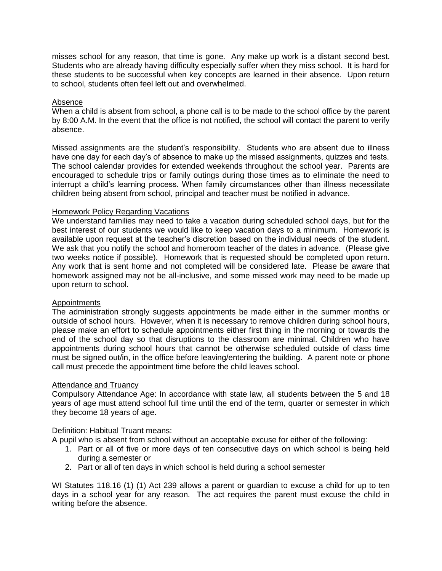misses school for any reason, that time is gone. Any make up work is a distant second best. Students who are already having difficulty especially suffer when they miss school. It is hard for these students to be successful when key concepts are learned in their absence. Upon return to school, students often feel left out and overwhelmed.

#### Absence

When a child is absent from school, a phone call is to be made to the school office by the parent by 8:00 A.M. In the event that the office is not notified, the school will contact the parent to verify absence.

Missed assignments are the student's responsibility. Students who are absent due to illness have one day for each day's of absence to make up the missed assignments, quizzes and tests. The school calendar provides for extended weekends throughout the school year. Parents are encouraged to schedule trips or family outings during those times as to eliminate the need to interrupt a child's learning process. When family circumstances other than illness necessitate children being absent from school, principal and teacher must be notified in advance.

#### Homework Policy Regarding Vacations

We understand families may need to take a vacation during scheduled school days, but for the best interest of our students we would like to keep vacation days to a minimum. Homework is available upon request at the teacher's discretion based on the individual needs of the student. We ask that you notify the school and homeroom teacher of the dates in advance. (Please give two weeks notice if possible). Homework that is requested should be completed upon return. Any work that is sent home and not completed will be considered late. Please be aware that homework assigned may not be all-inclusive, and some missed work may need to be made up upon return to school.

#### **Appointments**

The administration strongly suggests appointments be made either in the summer months or outside of school hours. However, when it is necessary to remove children during school hours, please make an effort to schedule appointments either first thing in the morning or towards the end of the school day so that disruptions to the classroom are minimal. Children who have appointments during school hours that cannot be otherwise scheduled outside of class time must be signed out/in, in the office before leaving/entering the building. A parent note or phone call must precede the appointment time before the child leaves school.

#### Attendance and Truancy

Compulsory Attendance Age: In accordance with state law, all students between the 5 and 18 years of age must attend school full time until the end of the term, quarter or semester in which they become 18 years of age.

#### Definition: Habitual Truant means:

A pupil who is absent from school without an acceptable excuse for either of the following:

- 1. Part or all of five or more days of ten consecutive days on which school is being held during a semester or
- 2. Part or all of ten days in which school is held during a school semester

WI Statutes 118.16 (1) (1) Act 239 allows a parent or guardian to excuse a child for up to ten days in a school year for any reason. The act requires the parent must excuse the child in writing before the absence.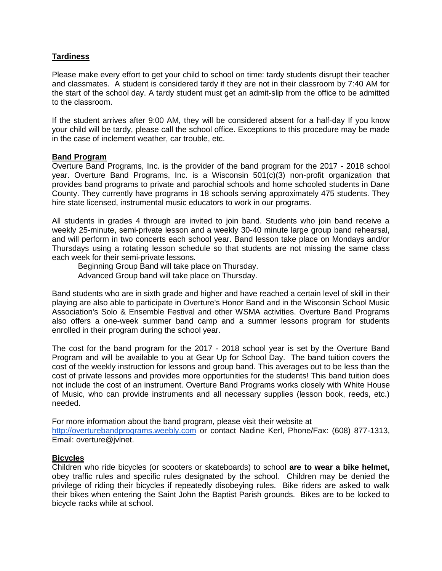#### **Tardiness**

Please make every effort to get your child to school on time: tardy students disrupt their teacher and classmates. A student is considered tardy if they are not in their classroom by 7:40 AM for the start of the school day. A tardy student must get an admit-slip from the office to be admitted to the classroom.

If the student arrives after 9:00 AM, they will be considered absent for a half-day If you know your child will be tardy, please call the school office. Exceptions to this procedure may be made in the case of inclement weather, car trouble, etc.

#### **Band Program**

Overture Band Programs, Inc. is the provider of the band program for the 2017 - 2018 school year. Overture Band Programs, Inc. is a Wisconsin 501(c)(3) non-profit organization that provides band programs to private and parochial schools and home schooled students in Dane County. They currently have programs in 18 schools serving approximately 475 students. They hire state licensed, instrumental music educators to work in our programs.

All students in grades 4 through are invited to join band. Students who join band receive a weekly 25-minute, semi-private lesson and a weekly 30-40 minute large group band rehearsal, and will perform in two concerts each school year. Band lesson take place on Mondays and/or Thursdays using a rotating lesson schedule so that students are not missing the same class each week for their semi-private lessons.

Beginning Group Band will take place on Thursday. Advanced Group band will take place on Thursday.

Band students who are in sixth grade and higher and have reached a certain level of skill in their playing are also able to participate in Overture's Honor Band and in the Wisconsin School Music Association's Solo & Ensemble Festival and other WSMA activities. Overture Band Programs also offers a one-week summer band camp and a summer lessons program for students enrolled in their program during the school year.

The cost for the band program for the 2017 - 2018 school year is set by the Overture Band Program and will be available to you at Gear Up for School Day. The band tuition covers the cost of the weekly instruction for lessons and group band. This averages out to be less than the cost of private lessons and provides more opportunities for the students! This band tuition does not include the cost of an instrument. Overture Band Programs works closely with White House of Music, who can provide instruments and all necessary supplies (lesson book, reeds, etc.) needed.

For more information about the band program, please visit their website at [http://overturebandprograms.weebly.com](http://overturebandprograms.weebly.com/) or contact Nadine Kerl, Phone/Fax: (608) 877-1313, Email: overture@jvlnet.

#### **Bicycles**

Children who ride bicycles (or scooters or skateboards) to school **are to wear a bike helmet,** obey traffic rules and specific rules designated by the school. Children may be denied the privilege of riding their bicycles if repeatedly disobeying rules. Bike riders are asked to walk their bikes when entering the Saint John the Baptist Parish grounds. Bikes are to be locked to bicycle racks while at school.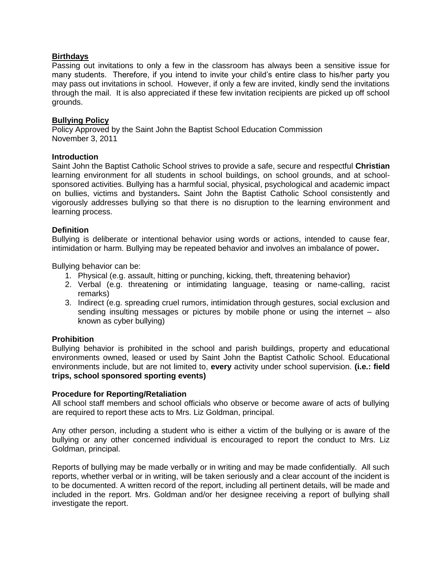#### **Birthdays**

Passing out invitations to only a few in the classroom has always been a sensitive issue for many students. Therefore, if you intend to invite your child's entire class to his/her party you may pass out invitations in school. However, if only a few are invited, kindly send the invitations through the mail. It is also appreciated if these few invitation recipients are picked up off school grounds.

#### **Bullying Policy**

Policy Approved by the Saint John the Baptist School Education Commission November 3, 2011

#### **Introduction**

Saint John the Baptist Catholic School strives to provide a safe, secure and respectful **Christian** learning environment for all students in school buildings, on school grounds, and at schoolsponsored activities. Bullying has a harmful social, physical, psychological and academic impact on bullies, victims and bystanders**.** Saint John the Baptist Catholic School consistently and vigorously addresses bullying so that there is no disruption to the learning environment and learning process.

#### **Definition**

Bullying is deliberate or intentional behavior using words or actions, intended to cause fear, intimidation or harm. Bullying may be repeated behavior and involves an imbalance of power**.**

Bullying behavior can be:

- 1. Physical (e.g. assault, hitting or punching, kicking, theft, threatening behavior)
- 2. Verbal (e.g. threatening or intimidating language, teasing or name-calling, racist remarks)
- 3. Indirect (e.g. spreading cruel rumors, intimidation through gestures, social exclusion and sending insulting messages or pictures by mobile phone or using the internet – also known as cyber bullying)

#### **Prohibition**

Bullying behavior is prohibited in the school and parish buildings, property and educational environments owned, leased or used by Saint John the Baptist Catholic School. Educational environments include, but are not limited to, **every** activity under school supervision. **(i.e.: field trips, school sponsored sporting events)**

#### **Procedure for Reporting/Retaliation**

All school staff members and school officials who observe or become aware of acts of bullying are required to report these acts to Mrs. Liz Goldman, principal.

Any other person, including a student who is either a victim of the bullying or is aware of the bullying or any other concerned individual is encouraged to report the conduct to Mrs. Liz Goldman, principal.

Reports of bullying may be made verbally or in writing and may be made confidentially. All such reports, whether verbal or in writing, will be taken seriously and a clear account of the incident is to be documented. A written record of the report, including all pertinent details, will be made and included in the report. Mrs. Goldman and/or her designee receiving a report of bullying shall investigate the report.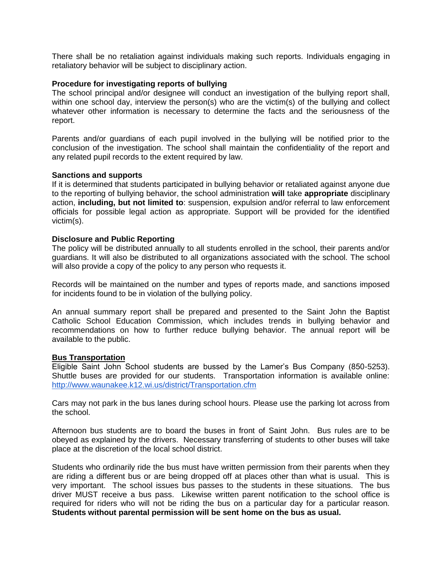There shall be no retaliation against individuals making such reports. Individuals engaging in retaliatory behavior will be subject to disciplinary action.

#### **Procedure for investigating reports of bullying**

The school principal and/or designee will conduct an investigation of the bullying report shall. within one school day, interview the person(s) who are the victim(s) of the bullying and collect whatever other information is necessary to determine the facts and the seriousness of the report.

Parents and/or guardians of each pupil involved in the bullying will be notified prior to the conclusion of the investigation. The school shall maintain the confidentiality of the report and any related pupil records to the extent required by law.

#### **Sanctions and supports**

If it is determined that students participated in bullying behavior or retaliated against anyone due to the reporting of bullying behavior, the school administration **will** take **appropriate** disciplinary action, **including, but not limited to**: suspension, expulsion and/or referral to law enforcement officials for possible legal action as appropriate. Support will be provided for the identified victim(s).

#### **Disclosure and Public Reporting**

The policy will be distributed annually to all students enrolled in the school, their parents and/or guardians. It will also be distributed to all organizations associated with the school. The school will also provide a copy of the policy to any person who requests it.

Records will be maintained on the number and types of reports made, and sanctions imposed for incidents found to be in violation of the bullying policy.

An annual summary report shall be prepared and presented to the Saint John the Baptist Catholic School Education Commission, which includes trends in bullying behavior and recommendations on how to further reduce bullying behavior. The annual report will be available to the public.

#### **Bus Transportation**

Eligible Saint John School students are bussed by the Lamer's Bus Company (850-5253). Shuttle buses are provided for our students. Transportation information is available online: <http://www.waunakee.k12.wi.us/district/Transportation.cfm>

Cars may not park in the bus lanes during school hours. Please use the parking lot across from the school.

Afternoon bus students are to board the buses in front of Saint John. Bus rules are to be obeyed as explained by the drivers. Necessary transferring of students to other buses will take place at the discretion of the local school district.

Students who ordinarily ride the bus must have written permission from their parents when they are riding a different bus or are being dropped off at places other than what is usual. This is very important. The school issues bus passes to the students in these situations. The bus driver MUST receive a bus pass. Likewise written parent notification to the school office is required for riders who will not be riding the bus on a particular day for a particular reason. **Students without parental permission will be sent home on the bus as usual.**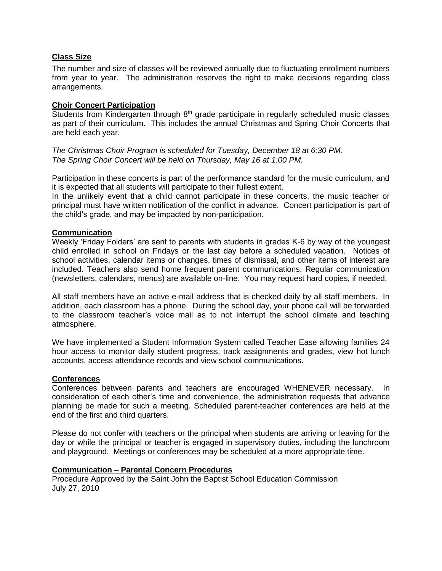#### **Class Size**

The number and size of classes will be reviewed annually due to fluctuating enrollment numbers from year to year. The administration reserves the right to make decisions regarding class arrangements.

#### **Choir Concert Participation**

Students from Kindergarten through 8<sup>th</sup> grade participate in regularly scheduled music classes as part of their curriculum. This includes the annual Christmas and Spring Choir Concerts that are held each year.

*The Christmas Choir Program is scheduled for Tuesday, December 18 at 6:30 PM. The Spring Choir Concert will be held on Thursday, May 16 at 1:00 PM.*

Participation in these concerts is part of the performance standard for the music curriculum, and it is expected that all students will participate to their fullest extent.

In the unlikely event that a child cannot participate in these concerts, the music teacher or principal must have written notification of the conflict in advance. Concert participation is part of the child's grade, and may be impacted by non-participation.

#### **Communication**

Weekly 'Friday Folders' are sent to parents with students in grades K-6 by way of the youngest child enrolled in school on Fridays or the last day before a scheduled vacation. Notices of school activities, calendar items or changes, times of dismissal, and other items of interest are included. Teachers also send home frequent parent communications. Regular communication (newsletters, calendars, menus) are available on-line. You may request hard copies, if needed.

All staff members have an active e-mail address that is checked daily by all staff members. In addition, each classroom has a phone. During the school day, your phone call will be forwarded to the classroom teacher's voice mail as to not interrupt the school climate and teaching atmosphere.

We have implemented a Student Information System called Teacher Ease allowing families 24 hour access to monitor daily student progress, track assignments and grades, view hot lunch accounts, access attendance records and view school communications.

#### **Conferences**

Conferences between parents and teachers are encouraged WHENEVER necessary. In consideration of each other's time and convenience, the administration requests that advance planning be made for such a meeting. Scheduled parent-teacher conferences are held at the end of the first and third quarters.

Please do not confer with teachers or the principal when students are arriving or leaving for the day or while the principal or teacher is engaged in supervisory duties, including the lunchroom and playground. Meetings or conferences may be scheduled at a more appropriate time.

#### **Communication – Parental Concern Procedures**

Procedure Approved by the Saint John the Baptist School Education Commission July 27, 2010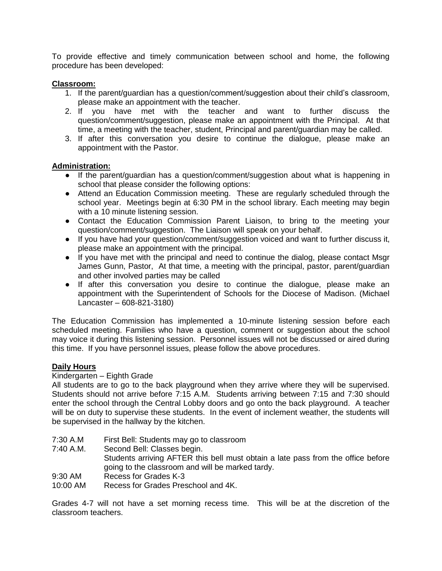To provide effective and timely communication between school and home, the following procedure has been developed:

#### **Classroom:**

- 1. If the parent/guardian has a question/comment/suggestion about their child's classroom, please make an appointment with the teacher.
- 2. If you have met with the teacher and want to further discuss the question/comment/suggestion, please make an appointment with the Principal. At that time, a meeting with the teacher, student, Principal and parent/guardian may be called.
- 3. If after this conversation you desire to continue the dialogue, please make an appointment with the Pastor.

#### **Administration:**

- If the parent/guardian has a question/comment/suggestion about what is happening in school that please consider the following options:
- Attend an Education Commission meeting. These are regularly scheduled through the school year. Meetings begin at 6:30 PM in the school library. Each meeting may begin with a 10 minute listening session.
- Contact the Education Commission Parent Liaison, to bring to the meeting your question/comment/suggestion. The Liaison will speak on your behalf.
- If you have had your question/comment/suggestion voiced and want to further discuss it, please make an appointment with the principal.
- If you have met with the principal and need to continue the dialog, please contact Msgr James Gunn, Pastor, At that time, a meeting with the principal, pastor, parent/guardian and other involved parties may be called
- If after this conversation you desire to continue the dialogue, please make an appointment with the Superintendent of Schools for the Diocese of Madison. (Michael Lancaster – 608-821-3180)

The Education Commission has implemented a 10-minute listening session before each scheduled meeting. Families who have a question, comment or suggestion about the school may voice it during this listening session. Personnel issues will not be discussed or aired during this time. If you have personnel issues, please follow the above procedures.

#### **Daily Hours**

#### Kindergarten – Eighth Grade

All students are to go to the back playground when they arrive where they will be supervised. Students should not arrive before 7:15 A.M. Students arriving between 7:15 and 7:30 should enter the school through the Central Lobby doors and go onto the back playground. A teacher will be on duty to supervise these students. In the event of inclement weather, the students will be supervised in the hallway by the kitchen.

7:30 A.M First Bell: Students may go to classroom

7:40 A.M. Second Bell: Classes begin.

Students arriving AFTER this bell must obtain a late pass from the office before going to the classroom and will be marked tardy.

- 9:30 AM Recess for Grades K-3
- 10:00 AM Recess for Grades Preschool and 4K.

Grades 4-7 will not have a set morning recess time. This will be at the discretion of the classroom teachers.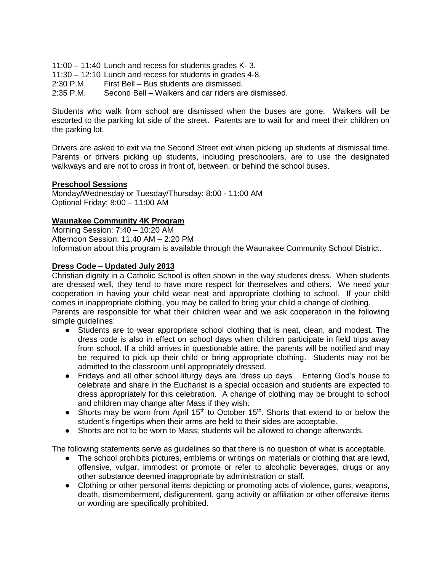- 11:00 11:40 Lunch and recess for students grades K- 3.
- 11:30 12:10 Lunch and recess for students in grades 4-8.
- 2:30 P.M First Bell Bus students are dismissed.
- 2:35 P.M. Second Bell Walkers and car riders are dismissed.

Students who walk from school are dismissed when the buses are gone. Walkers will be escorted to the parking lot side of the street. Parents are to wait for and meet their children on the parking lot.

Drivers are asked to exit via the Second Street exit when picking up students at dismissal time. Parents or drivers picking up students, including preschoolers, are to use the designated walkways and are not to cross in front of, between, or behind the school buses.

#### **Preschool Sessions**

Monday/Wednesday or Tuesday/Thursday: 8:00 - 11:00 AM Optional Friday: 8:00 – 11:00 AM

#### **Waunakee Community 4K Program**

Morning Session: 7:40 – 10:20 AM Afternoon Session: 11:40 AM – 2:20 PM Information about this program is available through the Waunakee Community School District.

#### **Dress Code – Updated July 2013**

Christian dignity in a Catholic School is often shown in the way students dress. When students are dressed well, they tend to have more respect for themselves and others. We need your cooperation in having your child wear neat and appropriate clothing to school. If your child comes in inappropriate clothing, you may be called to bring your child a change of clothing. Parents are responsible for what their children wear and we ask cooperation in the following simple guidelines:

- Students are to wear appropriate school clothing that is neat, clean, and modest. The dress code is also in effect on school days when children participate in field trips away from school. If a child arrives in questionable attire, the parents will be notified and may be required to pick up their child or bring appropriate clothing. Students may not be admitted to the classroom until appropriately dressed.
- Fridays and all other school liturgy days are 'dress up days'. Entering God's house to celebrate and share in the Eucharist is a special occasion and students are expected to dress appropriately for this celebration. A change of clothing may be brought to school and children may change after Mass if they wish.
- Shorts may be worn from April 15<sup>th</sup> to October 15<sup>th</sup>. Shorts that extend to or below the student's fingertips when their arms are held to their sides are acceptable.
- Shorts are not to be worn to Mass; students will be allowed to change afterwards.

The following statements serve as guidelines so that there is no question of what is acceptable*.*

- The school prohibits pictures, emblems or writings on materials or clothing that are lewd, offensive, vulgar, immodest or promote or refer to alcoholic beverages, drugs or any other substance deemed inappropriate by administration or staff.
- Clothing or other personal items depicting or promoting acts of violence, guns, weapons, death, dismemberment, disfigurement, gang activity or affiliation or other offensive items or wording are specifically prohibited.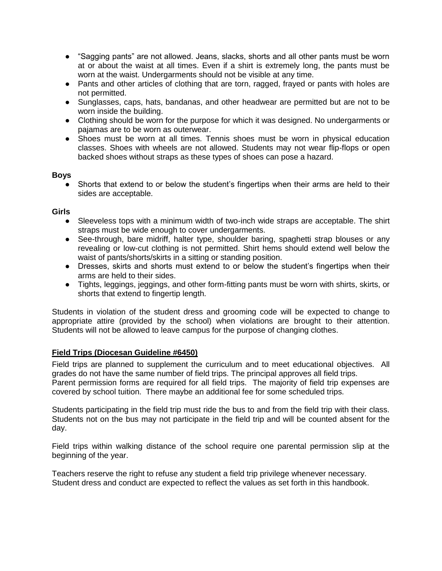- "Sagging pants" are not allowed. Jeans, slacks, shorts and all other pants must be worn at or about the waist at all times. Even if a shirt is extremely long, the pants must be worn at the waist. Undergarments should not be visible at any time.
- Pants and other articles of clothing that are torn, ragged, frayed or pants with holes are not permitted.
- Sunglasses, caps, hats, bandanas, and other headwear are permitted but are not to be worn inside the building.
- Clothing should be worn for the purpose for which it was designed. No undergarments or pajamas are to be worn as outerwear.
- Shoes must be worn at all times. Tennis shoes must be worn in physical education classes. Shoes with wheels are not allowed. Students may not wear flip-flops or open backed shoes without straps as these types of shoes can pose a hazard.

#### **Boys**

• Shorts that extend to or below the student's fingertips when their arms are held to their sides are acceptable.

#### **Girls**

- Sleeveless tops with a minimum width of two-inch wide straps are acceptable. The shirt straps must be wide enough to cover undergarments.
- See-through, bare midriff, halter type, shoulder baring, spaghetti strap blouses or any revealing or low-cut clothing is not permitted. Shirt hems should extend well below the waist of pants/shorts/skirts in a sitting or standing position.
- Dresses, skirts and shorts must extend to or below the student's fingertips when their arms are held to their sides.
- Tights, leggings, jeggings, and other form-fitting pants must be worn with shirts, skirts, or shorts that extend to fingertip length.

Students in violation of the student dress and grooming code will be expected to change to appropriate attire (provided by the school) when violations are brought to their attention. Students will not be allowed to leave campus for the purpose of changing clothes.

#### **Field Trips (Diocesan Guideline #6450)**

Field trips are planned to supplement the curriculum and to meet educational objectives. All grades do not have the same number of field trips. The principal approves all field trips. Parent permission forms are required for all field trips. The majority of field trip expenses are covered by school tuition. There maybe an additional fee for some scheduled trips.

Students participating in the field trip must ride the bus to and from the field trip with their class. Students not on the bus may not participate in the field trip and will be counted absent for the day.

Field trips within walking distance of the school require one parental permission slip at the beginning of the year.

Teachers reserve the right to refuse any student a field trip privilege whenever necessary. Student dress and conduct are expected to reflect the values as set forth in this handbook.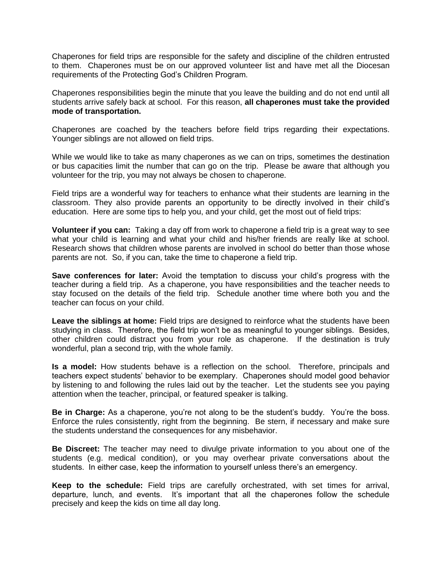Chaperones for field trips are responsible for the safety and discipline of the children entrusted to them. Chaperones must be on our approved volunteer list and have met all the Diocesan requirements of the Protecting God's Children Program.

Chaperones responsibilities begin the minute that you leave the building and do not end until all students arrive safely back at school. For this reason, **all chaperones must take the provided mode of transportation.**

Chaperones are coached by the teachers before field trips regarding their expectations. Younger siblings are not allowed on field trips.

While we would like to take as many chaperones as we can on trips, sometimes the destination or bus capacities limit the number that can go on the trip. Please be aware that although you volunteer for the trip, you may not always be chosen to chaperone.

Field trips are a wonderful way for teachers to enhance what their students are learning in the classroom. They also provide parents an opportunity to be directly involved in their child's education. Here are some tips to help you, and your child, get the most out of field trips:

**Volunteer if you can:** Taking a day off from work to chaperone a field trip is a great way to see what your child is learning and what your child and his/her friends are really like at school. Research shows that children whose parents are involved in school do better than those whose parents are not. So, if you can, take the time to chaperone a field trip.

**Save conferences for later:** Avoid the temptation to discuss your child's progress with the teacher during a field trip. As a chaperone, you have responsibilities and the teacher needs to stay focused on the details of the field trip. Schedule another time where both you and the teacher can focus on your child.

**Leave the siblings at home:** Field trips are designed to reinforce what the students have been studying in class. Therefore, the field trip won't be as meaningful to younger siblings. Besides, other children could distract you from your role as chaperone. If the destination is truly wonderful, plan a second trip, with the whole family.

**Is a model:** How students behave is a reflection on the school. Therefore, principals and teachers expect students' behavior to be exemplary. Chaperones should model good behavior by listening to and following the rules laid out by the teacher. Let the students see you paying attention when the teacher, principal, or featured speaker is talking.

**Be in Charge:** As a chaperone, you're not along to be the student's buddy. You're the boss. Enforce the rules consistently, right from the beginning. Be stern, if necessary and make sure the students understand the consequences for any misbehavior.

**Be Discreet:** The teacher may need to divulge private information to you about one of the students (e.g. medical condition), or you may overhear private conversations about the students. In either case, keep the information to yourself unless there's an emergency.

**Keep to the schedule:** Field trips are carefully orchestrated, with set times for arrival, departure, lunch, and events. It's important that all the chaperones follow the schedule precisely and keep the kids on time all day long.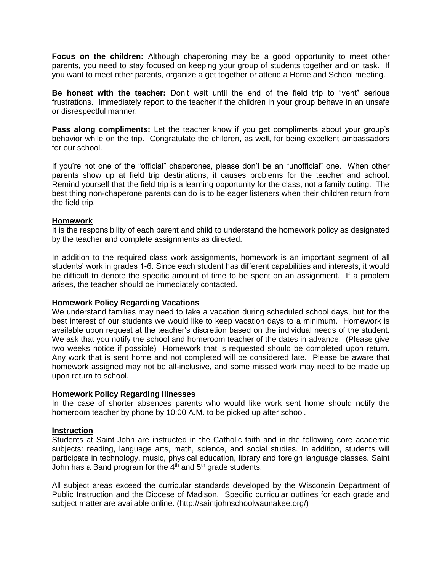**Focus on the children:** Although chaperoning may be a good opportunity to meet other parents, you need to stay focused on keeping your group of students together and on task. If you want to meet other parents, organize a get together or attend a Home and School meeting.

**Be honest with the teacher:** Don't wait until the end of the field trip to "vent" serious frustrations. Immediately report to the teacher if the children in your group behave in an unsafe or disrespectful manner.

**Pass along compliments:** Let the teacher know if you get compliments about your group's behavior while on the trip. Congratulate the children, as well, for being excellent ambassadors for our school.

If you're not one of the "official" chaperones, please don't be an "unofficial" one. When other parents show up at field trip destinations, it causes problems for the teacher and school. Remind yourself that the field trip is a learning opportunity for the class, not a family outing. The best thing non-chaperone parents can do is to be eager listeners when their children return from the field trip.

#### **Homework**

It is the responsibility of each parent and child to understand the homework policy as designated by the teacher and complete assignments as directed.

In addition to the required class work assignments, homework is an important segment of all students' work in grades 1-6. Since each student has different capabilities and interests, it would be difficult to denote the specific amount of time to be spent on an assignment. If a problem arises, the teacher should be immediately contacted.

#### **Homework Policy Regarding Vacations**

We understand families may need to take a vacation during scheduled school days, but for the best interest of our students we would like to keep vacation days to a minimum. Homework is available upon request at the teacher's discretion based on the individual needs of the student. We ask that you notify the school and homeroom teacher of the dates in advance. (Please give two weeks notice if possible) Homework that is requested should be completed upon return. Any work that is sent home and not completed will be considered late. Please be aware that homework assigned may not be all-inclusive, and some missed work may need to be made up upon return to school.

#### **Homework Policy Regarding Illnesses**

In the case of shorter absences parents who would like work sent home should notify the homeroom teacher by phone by 10:00 A.M. to be picked up after school.

#### **Instruction**

Students at Saint John are instructed in the Catholic faith and in the following core academic subjects: reading, language arts, math, science, and social studies. In addition, students will participate in technology, music, physical education, library and foreign language classes. Saint John has a Band program for the  $4<sup>th</sup>$  and  $5<sup>th</sup>$  grade students.

All subject areas exceed the curricular standards developed by the Wisconsin Department of Public Instruction and the Diocese of Madison. Specific curricular outlines for each grade and subject matter are available online. (http://saintjohnschoolwaunakee.org/)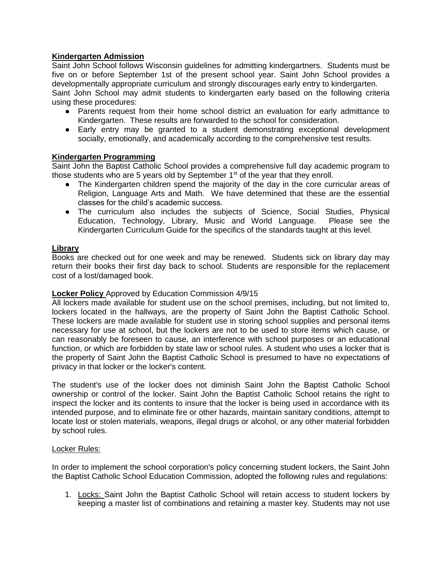#### **Kindergarten Admission**

Saint John School follows Wisconsin guidelines for admitting kindergartners. Students must be five on or before September 1st of the present school year. Saint John School provides a developmentally appropriate curriculum and strongly discourages early entry to kindergarten.

Saint John School may admit students to kindergarten early based on the following criteria using these procedures:

- Parents request from their home school district an evaluation for early admittance to Kindergarten. These results are forwarded to the school for consideration.
- Early entry may be granted to a student demonstrating exceptional development socially, emotionally, and academically according to the comprehensive test results.

#### **Kindergarten Programming**

Saint John the Baptist Catholic School provides a comprehensive full day academic program to those students who are 5 years old by September  $1<sup>st</sup>$  of the year that they enroll.

- The Kindergarten children spend the majority of the day in the core curricular areas of Religion, Language Arts and Math. We have determined that these are the essential classes for the child's academic success.
- The curriculum also includes the subjects of Science, Social Studies, Physical Education, Technology, Library, Music and World Language. Please see the Kindergarten Curriculum Guide for the specifics of the standards taught at this level.

#### **Library**

Books are checked out for one week and may be renewed. Students sick on library day may return their books their first day back to school. Students are responsible for the replacement cost of a lost/damaged book.

#### **Locker Policy** Approved by Education Commission 4/9/15

All lockers made available for student use on the school premises, including, but not limited to, lockers located in the hallways, are the property of Saint John the Baptist Catholic School. These lockers are made available for student use in storing school supplies and personal items necessary for use at school, but the lockers are not to be used to store items which cause, or can reasonably be foreseen to cause, an interference with school purposes or an educational function, or which are forbidden by state law or school rules. A student who uses a locker that is the property of Saint John the Baptist Catholic School is presumed to have no expectations of privacy in that locker or the locker's content.

The student's use of the locker does not diminish Saint John the Baptist Catholic School ownership or control of the locker. Saint John the Baptist Catholic School retains the right to inspect the locker and its contents to insure that the locker is being used in accordance with its intended purpose, and to eliminate fire or other hazards, maintain sanitary conditions, attempt to locate lost or stolen materials, weapons, illegal drugs or alcohol, or any other material forbidden by school rules.

#### Locker Rules:

In order to implement the school corporation's policy concerning student lockers, the Saint John the Baptist Catholic School Education Commission, adopted the following rules and regulations:

1. Locks: Saint John the Baptist Catholic School will retain access to student lockers by keeping a master list of combinations and retaining a master key. Students may not use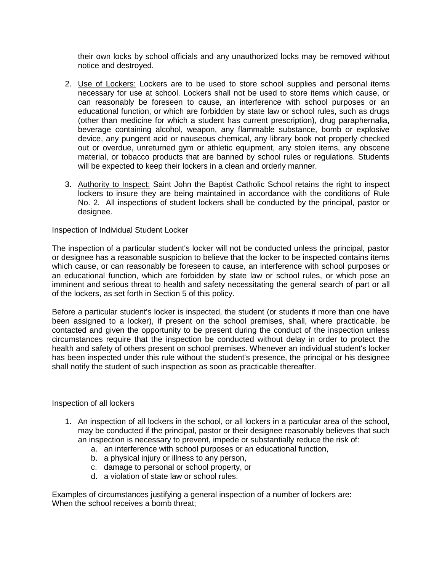their own locks by school officials and any unauthorized locks may be removed without notice and destroyed.

- 2. Use of Lockers: Lockers are to be used to store school supplies and personal items necessary for use at school. Lockers shall not be used to store items which cause, or can reasonably be foreseen to cause, an interference with school purposes or an educational function, or which are forbidden by state law or school rules, such as drugs (other than medicine for which a student has current prescription), drug paraphernalia, beverage containing alcohol, weapon, any flammable substance, bomb or explosive device, any pungent acid or nauseous chemical, any library book not properly checked out or overdue, unreturned gym or athletic equipment, any stolen items, any obscene material, or tobacco products that are banned by school rules or regulations. Students will be expected to keep their lockers in a clean and orderly manner.
- 3. Authority to Inspect: Saint John the Baptist Catholic School retains the right to inspect lockers to insure they are being maintained in accordance with the conditions of Rule No. 2. All inspections of student lockers shall be conducted by the principal, pastor or designee.

#### Inspection of Individual Student Locker

The inspection of a particular student's locker will not be conducted unless the principal, pastor or designee has a reasonable suspicion to believe that the locker to be inspected contains items which cause, or can reasonably be foreseen to cause, an interference with school purposes or an educational function, which are forbidden by state law or school rules, or which pose an imminent and serious threat to health and safety necessitating the general search of part or all of the lockers, as set forth in Section 5 of this policy.

Before a particular student's locker is inspected, the student (or students if more than one have been assigned to a locker), if present on the school premises, shall, where practicable, be contacted and given the opportunity to be present during the conduct of the inspection unless circumstances require that the inspection be conducted without delay in order to protect the health and safety of others present on school premises. Whenever an individual student's locker has been inspected under this rule without the student's presence, the principal or his designee shall notify the student of such inspection as soon as practicable thereafter.

#### Inspection of all lockers

- 1. An inspection of all lockers in the school, or all lockers in a particular area of the school, may be conducted if the principal, pastor or their designee reasonably believes that such an inspection is necessary to prevent, impede or substantially reduce the risk of:
	- a. an interference with school purposes or an educational function,
	- b. a physical injury or illness to any person,
	- c. damage to personal or school property, or
	- d. a violation of state law or school rules.

Examples of circumstances justifying a general inspection of a number of lockers are: When the school receives a bomb threat;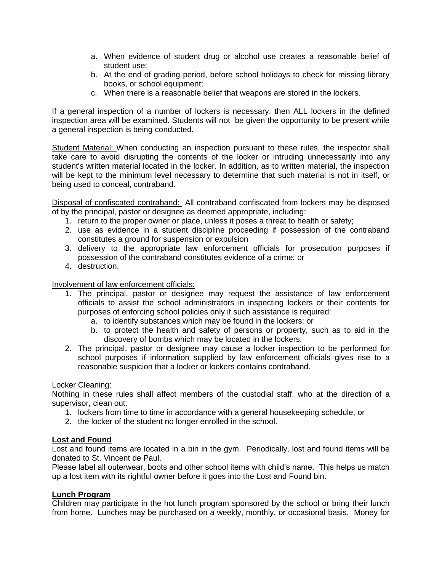- a. When evidence of student drug or alcohol use creates a reasonable belief of student use;
- b. At the end of grading period, before school holidays to check for missing library books, or school equipment;
- c. When there is a reasonable belief that weapons are stored in the lockers.

If a general inspection of a number of lockers is necessary, then ALL lockers in the defined inspection area will be examined. Students will not be given the opportunity to be present while a general inspection is being conducted.

Student Material: When conducting an inspection pursuant to these rules, the inspector shall take care to avoid disrupting the contents of the locker or intruding unnecessarily into any student's written material located in the locker. In addition, as to written material, the inspection will be kept to the minimum level necessary to determine that such material is not in itself, or being used to conceal, contraband.

Disposal of confiscated contraband: All contraband confiscated from lockers may be disposed of by the principal, pastor or designee as deemed appropriate, including:

- 1. return to the proper owner or place, unless it poses a threat to health or safety;
- 2. use as evidence in a student discipline proceeding if possession of the contraband constitutes a ground for suspension or expulsion
- 3. delivery to the appropriate law enforcement officials for prosecution purposes if possession of the contraband constitutes evidence of a crime; or
- 4. destruction.

#### Involvement of law enforcement officials:

- 1. The principal, pastor or designee may request the assistance of law enforcement officials to assist the school administrators in inspecting lockers or their contents for purposes of enforcing school policies only if such assistance is required:
	- a. to identify substances which may be found in the lockers; or
	- b. to protect the health and safety of persons or property, such as to aid in the discovery of bombs which may be located in the lockers.
- 2. The principal, pastor or designee may cause a locker inspection to be performed for school purposes if information supplied by law enforcement officials gives rise to a reasonable suspicion that a locker or lockers contains contraband.

#### Locker Cleaning:

Nothing in these rules shall affect members of the custodial staff, who at the direction of a supervisor, clean out:

- 1. lockers from time to time in accordance with a general housekeeping schedule, or
- 2. the locker of the student no longer enrolled in the school.

#### **Lost and Found**

Lost and found items are located in a bin in the gym. Periodically, lost and found items will be donated to St. Vincent de Paul.

Please label all outerwear, boots and other school items with child's name. This helps us match up a lost item with its rightful owner before it goes into the Lost and Found bin.

#### **Lunch Program**

Children may participate in the hot lunch program sponsored by the school or bring their lunch from home. Lunches may be purchased on a weekly, monthly, or occasional basis. Money for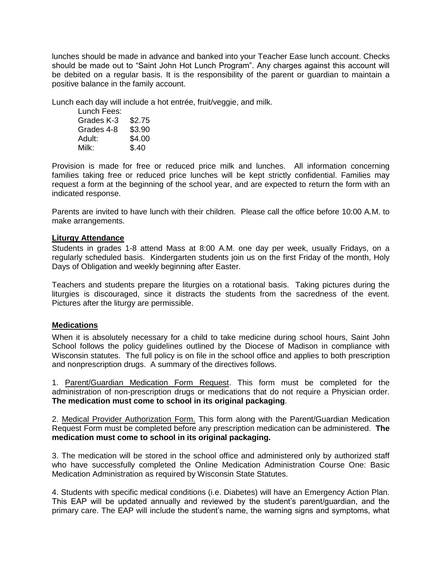lunches should be made in advance and banked into your Teacher Ease lunch account. Checks should be made out to "Saint John Hot Lunch Program". Any charges against this account will be debited on a regular basis. It is the responsibility of the parent or guardian to maintain a positive balance in the family account.

Lunch each day will include a hot entrée, fruit/veggie, and milk.

| Lunch Fees: |        |
|-------------|--------|
| Grades K-3  | \$2.75 |
| Grades 4-8  | \$3.90 |
| Adult:      | \$4.00 |
| Milk:       | \$.40  |

Provision is made for free or reduced price milk and lunches. All information concerning families taking free or reduced price lunches will be kept strictly confidential. Families may request a form at the beginning of the school year, and are expected to return the form with an indicated response.

Parents are invited to have lunch with their children. Please call the office before 10:00 A.M. to make arrangements.

#### **Liturgy Attendance**

Students in grades 1-8 attend Mass at 8:00 A.M. one day per week, usually Fridays, on a regularly scheduled basis. Kindergarten students join us on the first Friday of the month, Holy Days of Obligation and weekly beginning after Easter.

Teachers and students prepare the liturgies on a rotational basis. Taking pictures during the liturgies is discouraged, since it distracts the students from the sacredness of the event. Pictures after the liturgy are permissible.

#### **Medications**

When it is absolutely necessary for a child to take medicine during school hours, Saint John School follows the policy guidelines outlined by the Diocese of Madison in compliance with Wisconsin statutes. The full policy is on file in the school office and applies to both prescription and nonprescription drugs. A summary of the directives follows.

1. Parent/Guardian Medication Form Request. This form must be completed for the administration of non-prescription drugs or medications that do not require a Physician order. **The medication must come to school in its original packaging**.

2. Medical Provider Authorization Form. This form along with the Parent/Guardian Medication Request Form must be completed before any prescription medication can be administered. **The medication must come to school in its original packaging.**

3. The medication will be stored in the school office and administered only by authorized staff who have successfully completed the Online Medication Administration Course One: Basic Medication Administration as required by Wisconsin State Statutes.

4. Students with specific medical conditions (i.e. Diabetes) will have an Emergency Action Plan. This EAP will be updated annually and reviewed by the student's parent/guardian, and the primary care. The EAP will include the student's name, the warning signs and symptoms, what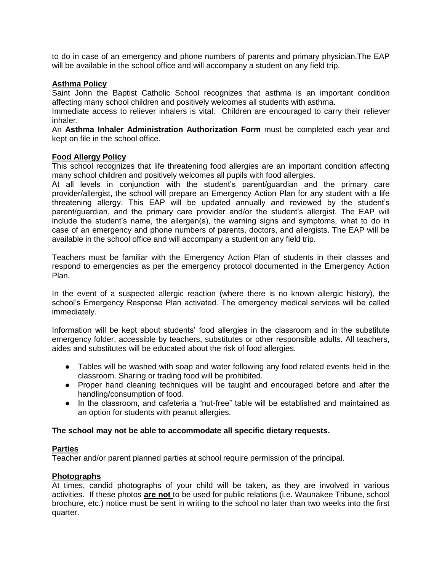to do in case of an emergency and phone numbers of parents and primary physician.The EAP will be available in the school office and will accompany a student on any field trip.

#### **Asthma Policy**

Saint John the Baptist Catholic School recognizes that asthma is an important condition affecting many school children and positively welcomes all students with asthma.

Immediate access to reliever inhalers is vital. Children are encouraged to carry their reliever inhaler.

An **Asthma Inhaler Administration Authorization Form** must be completed each year and kept on file in the school office.

#### **Food Allergy Policy**

This school recognizes that life threatening food allergies are an important condition affecting many school children and positively welcomes all pupils with food allergies.

At all levels in conjunction with the student's parent/guardian and the primary care provider/allergist, the school will prepare an Emergency Action Plan for any student with a life threatening allergy. This EAP will be updated annually and reviewed by the student's parent/guardian, and the primary care provider and/or the student's allergist. The EAP will include the student's name, the allergen(s), the warning signs and symptoms, what to do in case of an emergency and phone numbers of parents, doctors, and allergists. The EAP will be available in the school office and will accompany a student on any field trip.

Teachers must be familiar with the Emergency Action Plan of students in their classes and respond to emergencies as per the emergency protocol documented in the Emergency Action Plan.

In the event of a suspected allergic reaction (where there is no known allergic history), the school's Emergency Response Plan activated. The emergency medical services will be called immediately.

Information will be kept about students' food allergies in the classroom and in the substitute emergency folder, accessible by teachers, substitutes or other responsible adults. All teachers, aides and substitutes will be educated about the risk of food allergies.

- Tables will be washed with soap and water following any food related events held in the classroom. Sharing or trading food will be prohibited.
- Proper hand cleaning techniques will be taught and encouraged before and after the handling/consumption of food.
- In the classroom, and cafeteria a "nut-free" table will be established and maintained as an option for students with peanut allergies.

#### **The school may not be able to accommodate all specific dietary requests.**

#### **Parties**

Teacher and/or parent planned parties at school require permission of the principal.

#### **Photographs**

At times, candid photographs of your child will be taken, as they are involved in various activities. If these photos **are not** to be used for public relations (i.e. Waunakee Tribune, school brochure, etc.) notice must be sent in writing to the school no later than two weeks into the first quarter.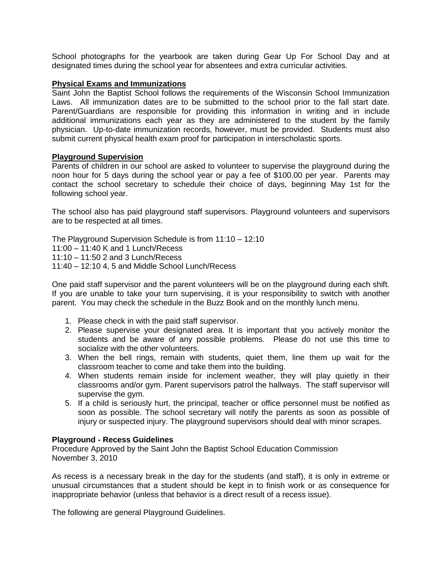School photographs for the yearbook are taken during Gear Up For School Day and at designated times during the school year for absentees and extra curricular activities.

#### **Physical Exams and Immunizations**

Saint John the Baptist School follows the requirements of the Wisconsin School Immunization Laws. All immunization dates are to be submitted to the school prior to the fall start date. Parent/Guardians are responsible for providing this information in writing and in include additional immunizations each year as they are administered to the student by the family physician. Up-to-date immunization records, however, must be provided. Students must also submit current physical health exam proof for participation in interscholastic sports.

#### **Playground Supervision**

Parents of children in our school are asked to volunteer to supervise the playground during the noon hour for 5 days during the school year or pay a fee of \$100.00 per year. Parents may contact the school secretary to schedule their choice of days, beginning May 1st for the following school year.

The school also has paid playground staff supervisors. Playground volunteers and supervisors are to be respected at all times.

The Playground Supervision Schedule is from 11:10 – 12:10

11:00 – 11:40 K and 1 Lunch/Recess

11:10 – 11:50 2 and 3 Lunch/Recess

11:40 – 12:10 4, 5 and Middle School Lunch/Recess

One paid staff supervisor and the parent volunteers will be on the playground during each shift. If you are unable to take your turn supervising, it is your responsibility to switch with another parent. You may check the schedule in the Buzz Book and on the monthly lunch menu.

- 1. Please check in with the paid staff supervisor.
- 2. Please supervise your designated area. It is important that you actively monitor the students and be aware of any possible problems. Please do not use this time to socialize with the other volunteers.
- 3. When the bell rings, remain with students, quiet them, line them up wait for the classroom teacher to come and take them into the building.
- 4. When students remain inside for inclement weather, they will play quietly in their classrooms and/or gym. Parent supervisors patrol the hallways. The staff supervisor will supervise the gym.
- 5. If a child is seriously hurt, the principal, teacher or office personnel must be notified as soon as possible. The school secretary will notify the parents as soon as possible of injury or suspected injury. The playground supervisors should deal with minor scrapes.

#### **Playground - Recess Guidelines**

Procedure Approved by the Saint John the Baptist School Education Commission November 3, 2010

As recess is a necessary break in the day for the students (and staff), it is only in extreme or unusual circumstances that a student should be kept in to finish work or as consequence for inappropriate behavior (unless that behavior is a direct result of a recess issue).

The following are general Playground Guidelines.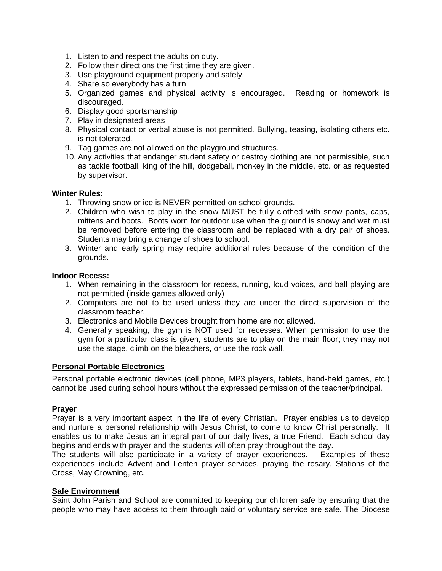- 1. Listen to and respect the adults on duty.
- 2. Follow their directions the first time they are given.
- 3. Use playground equipment properly and safely.
- 4. Share so everybody has a turn
- 5. Organized games and physical activity is encouraged. Reading or homework is discouraged.
- 6. Display good sportsmanship
- 7. Play in designated areas
- 8. Physical contact or verbal abuse is not permitted. Bullying, teasing, isolating others etc. is not tolerated.
- 9. Tag games are not allowed on the playground structures.
- 10. Any activities that endanger student safety or destroy clothing are not permissible, such as tackle football, king of the hill, dodgeball, monkey in the middle, etc. or as requested by supervisor.

#### **Winter Rules:**

- 1. Throwing snow or ice is NEVER permitted on school grounds.
- 2. Children who wish to play in the snow MUST be fully clothed with snow pants, caps, mittens and boots. Boots worn for outdoor use when the ground is snowy and wet must be removed before entering the classroom and be replaced with a dry pair of shoes. Students may bring a change of shoes to school.
- 3. Winter and early spring may require additional rules because of the condition of the grounds.

#### **Indoor Recess:**

- 1. When remaining in the classroom for recess, running, loud voices, and ball playing are not permitted (inside games allowed only)
- 2. Computers are not to be used unless they are under the direct supervision of the classroom teacher.
- 3. Electronics and Mobile Devices brought from home are not allowed.
- 4. Generally speaking, the gym is NOT used for recesses. When permission to use the gym for a particular class is given, students are to play on the main floor; they may not use the stage, climb on the bleachers, or use the rock wall.

#### **Personal Portable Electronics**

Personal portable electronic devices (cell phone, MP3 players, tablets, hand-held games, etc.) cannot be used during school hours without the expressed permission of the teacher/principal.

#### **Prayer**

Prayer is a very important aspect in the life of every Christian. Prayer enables us to develop and nurture a personal relationship with Jesus Christ, to come to know Christ personally. It enables us to make Jesus an integral part of our daily lives, a true Friend. Each school day begins and ends with prayer and the students will often pray throughout the day.

The students will also participate in a variety of prayer experiences. Examples of these experiences include Advent and Lenten prayer services, praying the rosary, Stations of the Cross, May Crowning, etc.

#### **Safe Environment**

Saint John Parish and School are committed to keeping our children safe by ensuring that the people who may have access to them through paid or voluntary service are safe. The Diocese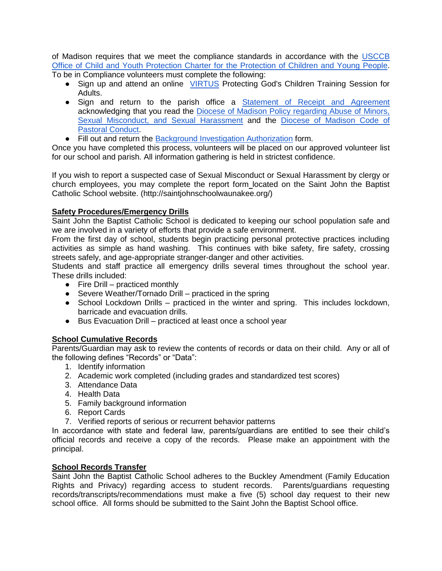of Madison requires that we meet the compliance standards in accordance with th[e](http://www.usccb.org/ocyp/charter.shtml) [USCCB](http://www.usccb.org/ocyp/charter.shtml)  Office of Child and Youth Protection Charter [for the Protection of Children and Young People.](http://www.usccb.org/ocyp/charter.shtml) To be in Compliance volunteers must complete the following:

- Sign up and attend an online [VIRTUS](http://www.virtus.org/) Protecting God's Children Training Session for Adults.
- Sign [a](http://www.stjb.org/parish/Agreement_Form.pdf)nd return to the parish office a [Statement of Receipt and Agreement](http://www.stjb.org/parish/Agreement_Form.pdf) acknowledging that you read th[e](http://www.madisondiocese.org/DioceseofMadison/SafeEnvironment/PolicySexualMisconductBRHarassmentAbuse/tabid/286/Default.aspx) [Diocese of Madison Policy regarding Abuse of Minors,](http://www.madisondiocese.org/DioceseofMadison/SafeEnvironment/PolicySexualMisconductBRHarassmentAbuse/tabid/286/Default.aspx)  [Sexual Misconduct, and Sexual Harassment](http://www.madisondiocese.org/DioceseofMadison/SafeEnvironment/PolicySexualMisconductBRHarassmentAbuse/tabid/286/Default.aspx) and th[e](http://www.madisondiocese.org/DioceseofMadison/SafeEnvironment/CodeofPastoralConduct/tabid/287/Default.aspx) [Diocese of Madison Code of](http://www.madisondiocese.org/DioceseofMadison/SafeEnvironment/CodeofPastoralConduct/tabid/287/Default.aspx)  [Pastoral Conduct.](http://www.madisondiocese.org/DioceseofMadison/SafeEnvironment/CodeofPastoralConduct/tabid/287/Default.aspx)
- Fill out and return th[e](http://www.stjb.org/parish/Background_check.pdf) [Background Investigation Authorization](http://www.stjb.org/parish/Background_check.pdf) form.

Once you have completed this process, volunteers will be placed on our approved volunteer list for our school and parish. All information gathering is held in strictest confidence.

If you wish to report a suspected case of Sexual Misconduct or Sexual Harassment by clergy or church employees, you may complete the report form located on the Saint John the Baptist Catholic School website. (http://saintjohnschoolwaunakee.org/)

#### **Safety Procedures/Emergency Drills**

Saint John the Baptist Catholic School is dedicated to keeping our school population safe and we are involved in a variety of efforts that provide a safe environment.

From the first day of school, students begin practicing personal protective practices including activities as simple as hand washing. This continues with bike safety, fire safety, crossing streets safely, and age-appropriate stranger-danger and other activities.

Students and staff practice all emergency drills several times throughout the school year. These drills included:

- $\bullet$  Fire Drill practiced monthly
- Severe Weather/Tornado Drill practiced in the spring
- School Lockdown Drills practiced in the winter and spring. This includes lockdown, barricade and evacuation drills.
- Bus Evacuation Drill practiced at least once a school year

#### **School Cumulative Records**

Parents/Guardian may ask to review the contents of records or data on their child. Any or all of the following defines "Records" or "Data":

- 1. Identify information
- 2. Academic work completed (including grades and standardized test scores)
- 3. Attendance Data
- 4. Health Data
- 5. Family background information
- 6. Report Cards
- 7. Verified reports of serious or recurrent behavior patterns

In accordance with state and federal law, parents/guardians are entitled to see their child's official records and receive a copy of the records. Please make an appointment with the principal.

#### **School Records Transfer**

Saint John the Baptist Catholic School adheres to the Buckley Amendment (Family Education Rights and Privacy) regarding access to student records. Parents/guardians requesting records/transcripts/recommendations must make a five (5) school day request to their new school office. All forms should be submitted to the Saint John the Baptist School office.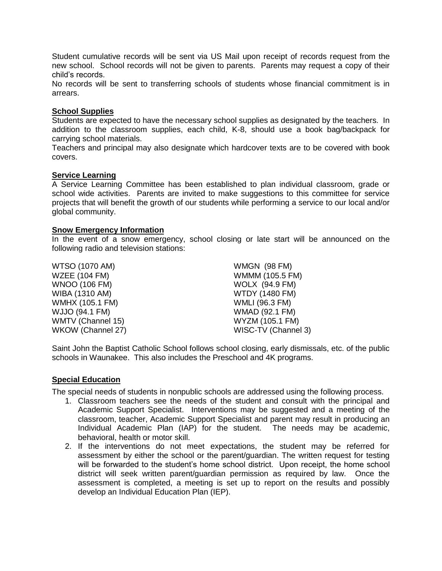Student cumulative records will be sent via US Mail upon receipt of records request from the new school. School records will not be given to parents. Parents may request a copy of their child's records.

No records will be sent to transferring schools of students whose financial commitment is in arrears.

#### **School Supplies**

Students are expected to have the necessary school supplies as designated by the teachers. In addition to the classroom supplies, each child, K-8, should use a book bag/backpack for carrying school materials.

Teachers and principal may also designate which hardcover texts are to be covered with book covers.

#### **Service Learning**

A Service Learning Committee has been established to plan individual classroom, grade or school wide activities. Parents are invited to make suggestions to this committee for service projects that will benefit the growth of our students while performing a service to our local and/or global community.

#### **Snow Emergency Information**

In the event of a snow emergency, school closing or late start will be announced on the following radio and television stations:

| WTSO (1070 AM)        | WMGN (98 FM)          |
|-----------------------|-----------------------|
| <b>WZEE (104 FM)</b>  | WMMM (105.5 FM)       |
| <b>WNOO (106 FM)</b>  | <b>WOLX (94.9 FM)</b> |
| WIBA (1310 AM)        | <b>WTDY (1480 FM)</b> |
| WMHX (105.1 FM)       | WMLI (96.3 FM)        |
| <b>WJJO (94.1 FM)</b> | <b>WMAD (92.1 FM)</b> |
| WMTV (Channel 15)     | WYZM (105.1 FM)       |
| WKOW (Channel 27)     | WISC-TV (Channel 3)   |

Saint John the Baptist Catholic School follows school closing, early dismissals, etc. of the public schools in Waunakee. This also includes the Preschool and 4K programs.

#### **Special Education**

The special needs of students in nonpublic schools are addressed using the following process.

- 1. Classroom teachers see the needs of the student and consult with the principal and Academic Support Specialist. Interventions may be suggested and a meeting of the classroom, teacher, Academic Support Specialist and parent may result in producing an Individual Academic Plan (IAP) for the student. The needs may be academic, behavioral, health or motor skill.
- 2. If the interventions do not meet expectations, the student may be referred for assessment by either the school or the parent/guardian. The written request for testing will be forwarded to the student's home school district. Upon receipt, the home school district will seek written parent/guardian permission as required by law. Once the assessment is completed, a meeting is set up to report on the results and possibly develop an Individual Education Plan (IEP).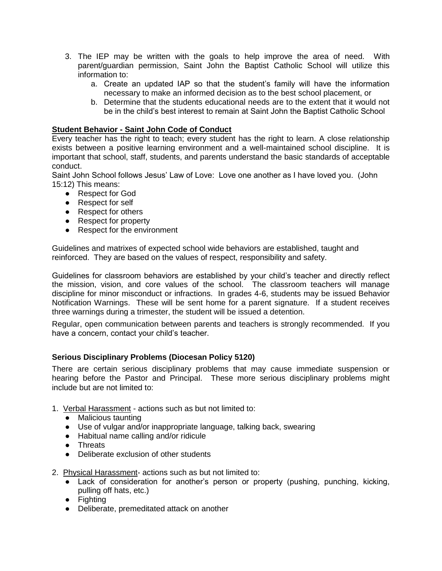- 3. The IEP may be written with the goals to help improve the area of need. With parent/guardian permission, Saint John the Baptist Catholic School will utilize this information to:
	- a. Create an updated IAP so that the student's family will have the information necessary to make an informed decision as to the best school placement, or
	- b. Determine that the students educational needs are to the extent that it would not be in the child's best interest to remain at Saint John the Baptist Catholic School

#### **Student Behavior - Saint John Code of Conduct**

Every teacher has the right to teach; every student has the right to learn. A close relationship exists between a positive learning environment and a well-maintained school discipline. It is important that school, staff, students, and parents understand the basic standards of acceptable conduct.

Saint John School follows Jesus' Law of Love: Love one another as I have loved you. (John 15:12) This means:

- Respect for God
- Respect for self
- Respect for others
- Respect for property
- Respect for the environment

Guidelines and matrixes of expected school wide behaviors are established, taught and reinforced. They are based on the values of respect, responsibility and safety.

Guidelines for classroom behaviors are established by your child's teacher and directly reflect the mission, vision, and core values of the school. The classroom teachers will manage discipline for minor misconduct or infractions. In grades 4-6, students may be issued Behavior Notification Warnings. These will be sent home for a parent signature. If a student receives three warnings during a trimester, the student will be issued a detention.

Regular, open communication between parents and teachers is strongly recommended. If you have a concern, contact your child's teacher.

#### **Serious Disciplinary Problems (Diocesan Policy 5120)**

There are certain serious disciplinary problems that may cause immediate suspension or hearing before the Pastor and Principal. These more serious disciplinary problems might include but are not limited to:

- 1. Verbal Harassment actions such as but not limited to:
	- Malicious taunting
	- Use of vulgar and/or inappropriate language, talking back, swearing
	- Habitual name calling and/or ridicule
	- Threats
	- Deliberate exclusion of other students
- 2. Physical Harassment- actions such as but not limited to:
	- Lack of consideration for another's person or property (pushing, punching, kicking, pulling off hats, etc.)
	- Fighting
	- Deliberate, premeditated attack on another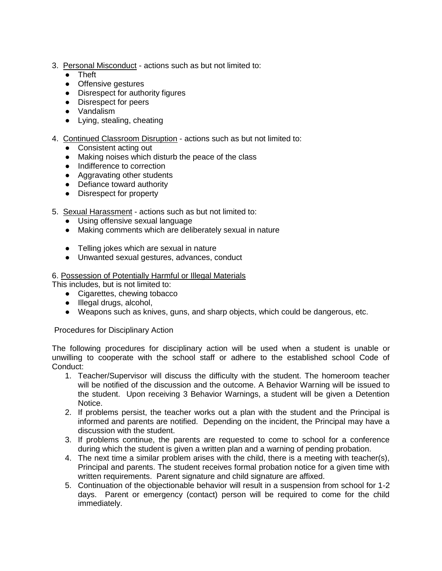- 3. Personal Misconduct actions such as but not limited to:
	- Theft
	- Offensive gestures
	- Disrespect for authority figures
	- Disrespect for peers
	- Vandalism
	- Lying, stealing, cheating
- 4. Continued Classroom Disruption actions such as but not limited to:
	- Consistent acting out
	- Making noises which disturb the peace of the class
	- Indifference to correction
	- Aggravating other students
	- Defiance toward authority
	- Disrespect for property
- 5. Sexual Harassment actions such as but not limited to:
	- Using offensive sexual language
	- Making comments which are deliberately sexual in nature
	- Telling jokes which are sexual in nature
	- Unwanted sexual gestures, advances, conduct

#### 6. Possession of Potentially Harmful or Illegal Materials

- This includes, but is not limited to:
	- Cigarettes, chewing tobacco
	- Illegal drugs, alcohol,
	- Weapons such as knives, guns, and sharp objects, which could be dangerous, etc.

Procedures for Disciplinary Action

The following procedures for disciplinary action will be used when a student is unable or unwilling to cooperate with the school staff or adhere to the established school Code of Conduct:

- 1. Teacher/Supervisor will discuss the difficulty with the student. The homeroom teacher will be notified of the discussion and the outcome. A Behavior Warning will be issued to the student. Upon receiving 3 Behavior Warnings, a student will be given a Detention Notice.
- 2. If problems persist, the teacher works out a plan with the student and the Principal is informed and parents are notified. Depending on the incident, the Principal may have a discussion with the student.
- 3. If problems continue, the parents are requested to come to school for a conference during which the student is given a written plan and a warning of pending probation.
- 4. The next time a similar problem arises with the child, there is a meeting with teacher(s), Principal and parents. The student receives formal probation notice for a given time with written requirements. Parent signature and child signature are affixed.
- 5. Continuation of the objectionable behavior will result in a suspension from school for 1-2 days. Parent or emergency (contact) person will be required to come for the child immediately.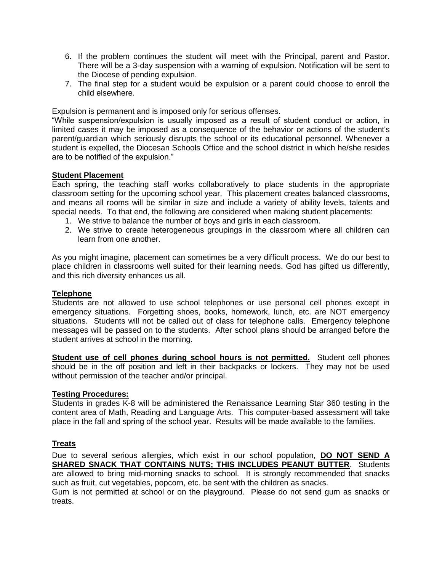- 6. If the problem continues the student will meet with the Principal, parent and Pastor. There will be a 3-day suspension with a warning of expulsion. Notification will be sent to the Diocese of pending expulsion.
- 7. The final step for a student would be expulsion or a parent could choose to enroll the child elsewhere.

Expulsion is permanent and is imposed only for serious offenses.

"While suspension/expulsion is usually imposed as a result of student conduct or action, in limited cases it may be imposed as a consequence of the behavior or actions of the student's parent/guardian which seriously disrupts the school or its educational personnel. Whenever a student is expelled, the Diocesan Schools Office and the school district in which he/she resides are to be notified of the expulsion."

#### **Student Placement**

Each spring, the teaching staff works collaboratively to place students in the appropriate classroom setting for the upcoming school year. This placement creates balanced classrooms, and means all rooms will be similar in size and include a variety of ability levels, talents and special needs. To that end, the following are considered when making student placements:

- 1. We strive to balance the number of boys and girls in each classroom.
- 2. We strive to create heterogeneous groupings in the classroom where all children can learn from one another.

As you might imagine, placement can sometimes be a very difficult process. We do our best to place children in classrooms well suited for their learning needs. God has gifted us differently, and this rich diversity enhances us all.

#### **Telephone**

Students are not allowed to use school telephones or use personal cell phones except in emergency situations. Forgetting shoes, books, homework, lunch, etc. are NOT emergency situations. Students will not be called out of class for telephone calls. Emergency telephone messages will be passed on to the students. After school plans should be arranged before the student arrives at school in the morning.

**Student use of cell phones during school hours is not permitted.** Student cell phones should be in the off position and left in their backpacks or lockers. They may not be used without permission of the teacher and/or principal.

#### **Testing Procedures:**

Students in grades K-8 will be administered the Renaissance Learning Star 360 testing in the content area of Math, Reading and Language Arts. This computer-based assessment will take place in the fall and spring of the school year. Results will be made available to the families.

#### **Treats**

Due to several serious allergies, which exist in our school population, **DO NOT SEND A SHARED SNACK THAT CONTAINS NUTS; THIS INCLUDES PEANUT BUTTER**. Students are allowed to bring mid-morning snacks to school. It is strongly recommended that snacks such as fruit, cut vegetables, popcorn, etc. be sent with the children as snacks.

Gum is not permitted at school or on the playground. Please do not send gum as snacks or treats.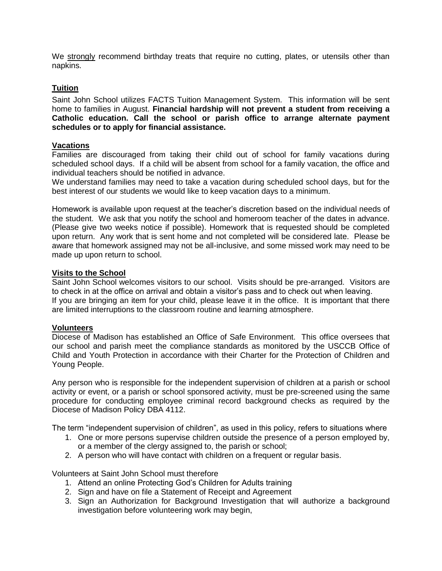We strongly recommend birthday treats that require no cutting, plates, or utensils other than napkins.

#### **Tuition**

Saint John School utilizes FACTS Tuition Management System. This information will be sent home to families in August. **Financial hardship will not prevent a student from receiving a Catholic education. Call the school or parish office to arrange alternate payment schedules or to apply for financial assistance.**

#### **Vacations**

Families are discouraged from taking their child out of school for family vacations during scheduled school days. If a child will be absent from school for a family vacation, the office and individual teachers should be notified in advance.

We understand families may need to take a vacation during scheduled school days, but for the best interest of our students we would like to keep vacation days to a minimum.

Homework is available upon request at the teacher's discretion based on the individual needs of the student. We ask that you notify the school and homeroom teacher of the dates in advance. (Please give two weeks notice if possible). Homework that is requested should be completed upon return. Any work that is sent home and not completed will be considered late. Please be aware that homework assigned may not be all-inclusive, and some missed work may need to be made up upon return to school.

#### **Visits to the School**

Saint John School welcomes visitors to our school. Visits should be pre-arranged. Visitors are to check in at the office on arrival and obtain a visitor's pass and to check out when leaving. If you are bringing an item for your child, please leave it in the office. It is important that there are limited interruptions to the classroom routine and learning atmosphere.

#### **Volunteers**

Diocese of Madison has established an Office of Safe Environment. This office oversees that our school and parish meet the compliance standards as monitored by the USCCB Office of Child and Youth Protection in accordance with their Charter for the Protection of Children and Young People.

Any person who is responsible for the independent supervision of children at a parish or school activity or event, or a parish or school sponsored activity, must be pre-screened using the same procedure for conducting employee criminal record background checks as required by the Diocese of Madison Policy DBA 4112.

The term "independent supervision of children", as used in this policy, refers to situations where

- 1. One or more persons supervise children outside the presence of a person employed by, or a member of the clergy assigned to, the parish or school;
- 2. A person who will have contact with children on a frequent or regular basis.

Volunteers at Saint John School must therefore

- 1. Attend an online Protecting God's Children for Adults training
- 2. Sign and have on file a Statement of Receipt and Agreement
- 3. Sign an Authorization for Background Investigation that will authorize a background investigation before volunteering work may begin,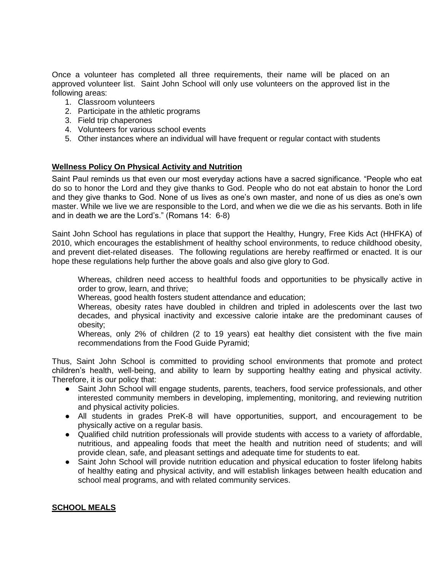Once a volunteer has completed all three requirements, their name will be placed on an approved volunteer list. Saint John School will only use volunteers on the approved list in the following areas:

- 1. Classroom volunteers
- 2. Participate in the athletic programs
- 3. Field trip chaperones
- 4. Volunteers for various school events
- 5. Other instances where an individual will have frequent or regular contact with students

#### **Wellness Policy On Physical Activity and Nutrition**

Saint Paul reminds us that even our most everyday actions have a sacred significance. "People who eat do so to honor the Lord and they give thanks to God. People who do not eat abstain to honor the Lord and they give thanks to God. None of us lives as one's own master, and none of us dies as one's own master. While we live we are responsible to the Lord, and when we die we die as his servants. Both in life and in death we are the Lord's." (Romans 14: 6-8)

Saint John School has regulations in place that support the Healthy, Hungry, Free Kids Act (HHFKA) of 2010, which encourages the establishment of healthy school environments, to reduce childhood obesity, and prevent diet-related diseases. The following regulations are hereby reaffirmed or enacted. It is our hope these regulations help further the above goals and also give glory to God.

Whereas, children need access to healthful foods and opportunities to be physically active in order to grow, learn, and thrive;

Whereas, good health fosters student attendance and education;

Whereas, obesity rates have doubled in children and tripled in adolescents over the last two decades, and physical inactivity and excessive calorie intake are the predominant causes of obesity;

Whereas, only 2% of children (2 to 19 years) eat healthy diet consistent with the five main recommendations from the Food Guide Pyramid;

Thus, Saint John School is committed to providing school environments that promote and protect children's health, well-being, and ability to learn by supporting healthy eating and physical activity. Therefore, it is our policy that:

- Saint John School will engage students, parents, teachers, food service professionals, and other interested community members in developing, implementing, monitoring, and reviewing nutrition and physical activity policies.
- All students in grades PreK-8 will have opportunities, support, and encouragement to be physically active on a regular basis.
- Qualified child nutrition professionals will provide students with access to a variety of affordable, nutritious, and appealing foods that meet the health and nutrition need of students; and will provide clean, safe, and pleasant settings and adequate time for students to eat.
- Saint John School will provide nutrition education and physical education to foster lifelong habits of healthy eating and physical activity, and will establish linkages between health education and school meal programs, and with related community services.

#### **SCHOOL MEALS**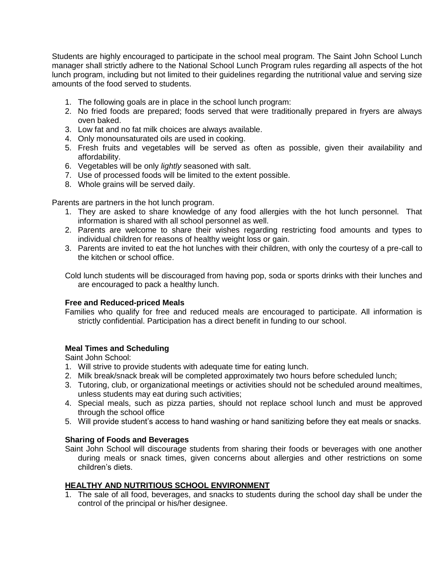Students are highly encouraged to participate in the school meal program. The Saint John School Lunch manager shall strictly adhere to the National School Lunch Program rules regarding all aspects of the hot lunch program, including but not limited to their guidelines regarding the nutritional value and serving size amounts of the food served to students.

- 1. The following goals are in place in the school lunch program:
- 2. No fried foods are prepared; foods served that were traditionally prepared in fryers are always oven baked.
- 3. Low fat and no fat milk choices are always available.
- 4. Only monounsaturated oils are used in cooking.
- 5. Fresh fruits and vegetables will be served as often as possible, given their availability and affordability.
- 6. Vegetables will be only *lightly* seasoned with salt.
- 7. Use of processed foods will be limited to the extent possible.
- 8. Whole grains will be served daily.

Parents are partners in the hot lunch program.

- 1. They are asked to share knowledge of any food allergies with the hot lunch personnel. That information is shared with all school personnel as well.
- 2. Parents are welcome to share their wishes regarding restricting food amounts and types to individual children for reasons of healthy weight loss or gain.
- 3. Parents are invited to eat the hot lunches with their children, with only the courtesy of a pre-call to the kitchen or school office.

Cold lunch students will be discouraged from having pop, soda or sports drinks with their lunches and are encouraged to pack a healthy lunch.

#### **Free and Reduced-priced Meals**

Families who qualify for free and reduced meals are encouraged to participate. All information is strictly confidential. Participation has a direct benefit in funding to our school.

#### **Meal Times and Scheduling**

Saint John School:

- 1. Will strive to provide students with adequate time for eating lunch.
- 2. Milk break/snack break will be completed approximately two hours before scheduled lunch;
- 3. Tutoring, club, or organizational meetings or activities should not be scheduled around mealtimes, unless students may eat during such activities;
- 4. Special meals, such as pizza parties, should not replace school lunch and must be approved through the school office
- 5. Will provide student's access to hand washing or hand sanitizing before they eat meals or snacks.

#### **Sharing of Foods and Beverages**

Saint John School will discourage students from sharing their foods or beverages with one another during meals or snack times, given concerns about allergies and other restrictions on some children's diets.

#### **HEALTHY AND NUTRITIOUS SCHOOL ENVIRONMENT**

1. The sale of all food, beverages, and snacks to students during the school day shall be under the control of the principal or his/her designee.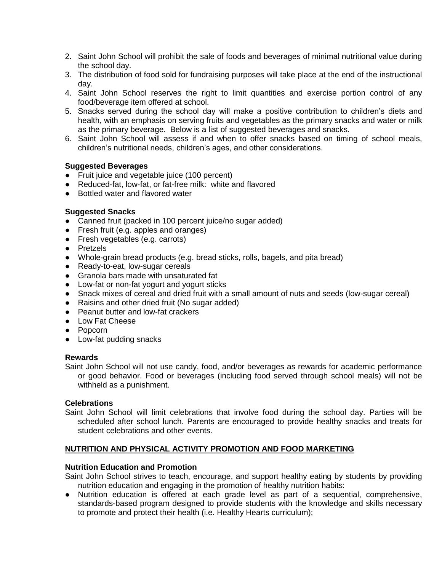- 2. Saint John School will prohibit the sale of foods and beverages of minimal nutritional value during the school day.
- 3. The distribution of food sold for fundraising purposes will take place at the end of the instructional day.
- 4. Saint John School reserves the right to limit quantities and exercise portion control of any food/beverage item offered at school.
- 5. Snacks served during the school day will make a positive contribution to children's diets and health, with an emphasis on serving fruits and vegetables as the primary snacks and water or milk as the primary beverage. Below is a list of suggested beverages and snacks.
- 6. Saint John School will assess if and when to offer snacks based on timing of school meals, children's nutritional needs, children's ages, and other considerations.

#### **Suggested Beverages**

- Fruit juice and vegetable juice (100 percent)
- Reduced-fat, low-fat, or fat-free milk: white and flavored
- Bottled water and flavored water

#### **Suggested Snacks**

- Canned fruit (packed in 100 percent juice/no sugar added)
- Fresh fruit (e.g. apples and oranges)
- Fresh vegetables (e.g. carrots)
- Pretzels
- Whole-grain bread products (e.g. bread sticks, rolls, bagels, and pita bread)
- Ready-to-eat, low-sugar cereals
- Granola bars made with unsaturated fat
- Low-fat or non-fat yogurt and yogurt sticks
- Snack mixes of cereal and dried fruit with a small amount of nuts and seeds (low-sugar cereal)
- Raisins and other dried fruit (No sugar added)
- Peanut butter and low-fat crackers
- Low Fat Cheese
- Popcorn
- Low-fat pudding snacks

#### **Rewards**

Saint John School will not use candy, food, and/or beverages as rewards for academic performance or good behavior. Food or beverages (including food served through school meals) will not be withheld as a punishment.

#### **Celebrations**

Saint John School will limit celebrations that involve food during the school day. Parties will be scheduled after school lunch. Parents are encouraged to provide healthy snacks and treats for student celebrations and other events.

#### **NUTRITION AND PHYSICAL ACTIVITY PROMOTION AND FOOD MARKETING**

#### **Nutrition Education and Promotion**

Saint John School strives to teach, encourage, and support healthy eating by students by providing nutrition education and engaging in the promotion of healthy nutrition habits:

● Nutrition education is offered at each grade level as part of a sequential, comprehensive, standards-based program designed to provide students with the knowledge and skills necessary to promote and protect their health (i.e. Healthy Hearts curriculum);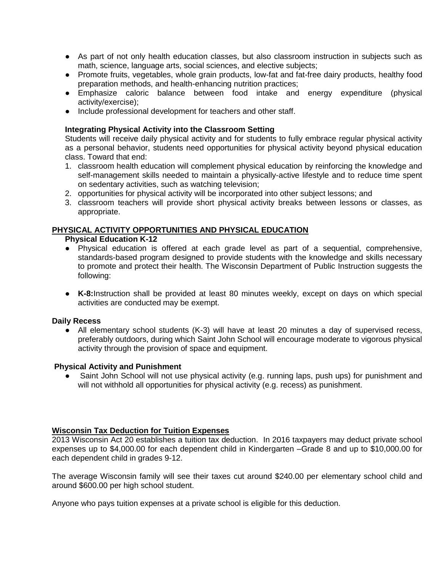- As part of not only health education classes, but also classroom instruction in subjects such as math, science, language arts, social sciences, and elective subjects;
- Promote fruits, vegetables, whole grain products, low-fat and fat-free dairy products, healthy food preparation methods, and health-enhancing nutrition practices;
- Emphasize caloric balance between food intake and energy expenditure (physical activity/exercise);
- Include professional development for teachers and other staff.

#### **Integrating Physical Activity into the Classroom Setting**

Students will receive daily physical activity and for students to fully embrace regular physical activity as a personal behavior, students need opportunities for physical activity beyond physical education class. Toward that end:

- 1. classroom health education will complement physical education by reinforcing the knowledge and self-management skills needed to maintain a physically-active lifestyle and to reduce time spent on sedentary activities, such as watching television;
- 2. opportunities for physical activity will be incorporated into other subject lessons; and
- 3. classroom teachers will provide short physical activity breaks between lessons or classes, as appropriate.

#### **PHYSICAL ACTIVITY OPPORTUNITIES AND PHYSICAL EDUCATION**

#### **Physical Education K-12**

- Physical education is offered at each grade level as part of a sequential, comprehensive, standards-based program designed to provide students with the knowledge and skills necessary to promote and protect their health. The Wisconsin Department of Public Instruction suggests the following:
- **K-8:**Instruction shall be provided at least 80 minutes weekly, except on days on which special activities are conducted may be exempt.

#### **Daily Recess**

• All elementary school students (K-3) will have at least 20 minutes a day of supervised recess, preferably outdoors, during which Saint John School will encourage moderate to vigorous physical activity through the provision of space and equipment.

#### **Physical Activity and Punishment**

Saint John School will not use physical activity (e.g. running laps, push ups) for punishment and will not withhold all opportunities for physical activity (e.g. recess) as punishment.

#### **Wisconsin Tax Deduction for Tuition Expenses**

2013 Wisconsin Act 20 establishes a tuition tax deduction. In 2016 taxpayers may deduct private school expenses up to \$4,000.00 for each dependent child in Kindergarten –Grade 8 and up to \$10,000.00 for each dependent child in grades 9-12.

The average Wisconsin family will see their taxes cut around \$240.00 per elementary school child and around \$600.00 per high school student.

Anyone who pays tuition expenses at a private school is eligible for this deduction.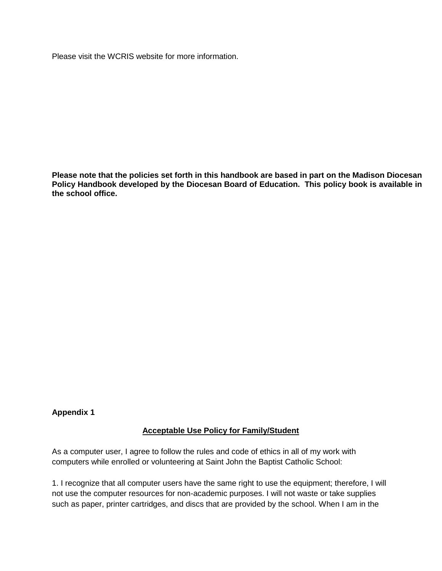Please visit the WCRIS website for more information.

**Please note that the policies set forth in this handbook are based in part on the Madison Diocesan Policy Handbook developed by the Diocesan Board of Education. This policy book is available in the school office.**

#### **Appendix 1**

#### **Acceptable Use Policy for Family/Student**

As a computer user, I agree to follow the rules and code of ethics in all of my work with computers while enrolled or volunteering at Saint John the Baptist Catholic School:

1. I recognize that all computer users have the same right to use the equipment; therefore, I will not use the computer resources for non-academic purposes. I will not waste or take supplies such as paper, printer cartridges, and discs that are provided by the school. When I am in the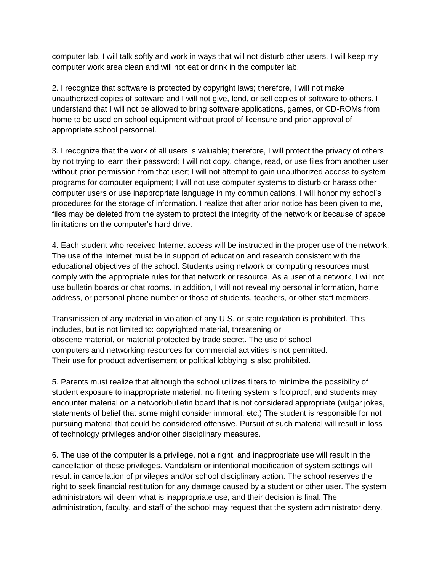computer lab, I will talk softly and work in ways that will not disturb other users. I will keep my computer work area clean and will not eat or drink in the computer lab.

2. I recognize that software is protected by copyright laws; therefore, I will not make unauthorized copies of software and I will not give, lend, or sell copies of software to others. I understand that I will not be allowed to bring software applications, games, or CD-ROMs from home to be used on school equipment without proof of licensure and prior approval of appropriate school personnel.

3. I recognize that the work of all users is valuable; therefore, I will protect the privacy of others by not trying to learn their password; I will not copy, change, read, or use files from another user without prior permission from that user; I will not attempt to gain unauthorized access to system programs for computer equipment; I will not use computer systems to disturb or harass other computer users or use inappropriate language in my communications. I will honor my school's procedures for the storage of information. I realize that after prior notice has been given to me, files may be deleted from the system to protect the integrity of the network or because of space limitations on the computer's hard drive.

4. Each student who received Internet access will be instructed in the proper use of the network. The use of the Internet must be in support of education and research consistent with the educational objectives of the school. Students using network or computing resources must comply with the appropriate rules for that network or resource. As a user of a network, I will not use bulletin boards or chat rooms. In addition, I will not reveal my personal information, home address, or personal phone number or those of students, teachers, or other staff members.

Transmission of any material in violation of any U.S. or state regulation is prohibited. This includes, but is not limited to: copyrighted material, threatening or obscene material, or material protected by trade secret. The use of school computers and networking resources for commercial activities is not permitted. Their use for product advertisement or political lobbying is also prohibited.

5. Parents must realize that although the school utilizes filters to minimize the possibility of student exposure to inappropriate material, no filtering system is foolproof, and students may encounter material on a network/bulletin board that is not considered appropriate (vulgar jokes, statements of belief that some might consider immoral, etc.) The student is responsible for not pursuing material that could be considered offensive. Pursuit of such material will result in loss of technology privileges and/or other disciplinary measures.

6. The use of the computer is a privilege, not a right, and inappropriate use will result in the cancellation of these privileges. Vandalism or intentional modification of system settings will result in cancellation of privileges and/or school disciplinary action. The school reserves the right to seek financial restitution for any damage caused by a student or other user. The system administrators will deem what is inappropriate use, and their decision is final. The administration, faculty, and staff of the school may request that the system administrator deny,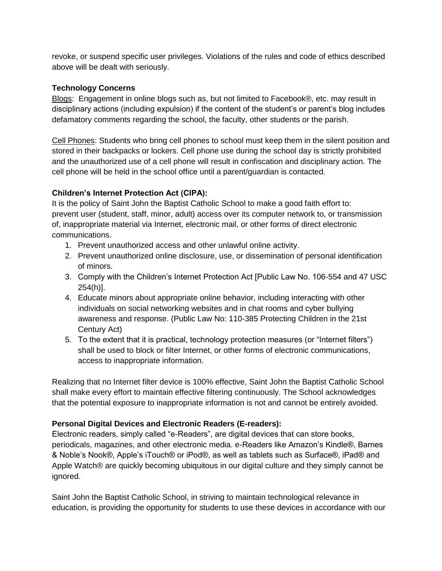revoke, or suspend specific user privileges. Violations of the rules and code of ethics described above will be dealt with seriously.

#### **Technology Concerns**

Blogs: Engagement in online blogs such as, but not limited to Facebook®, etc. may result in disciplinary actions (including expulsion) if the content of the student's or parent's blog includes defamatory comments regarding the school, the faculty, other students or the parish.

Cell Phones: Students who bring cell phones to school must keep them in the silent position and stored in their backpacks or lockers. Cell phone use during the school day is strictly prohibited and the unauthorized use of a cell phone will result in confiscation and disciplinary action. The cell phone will be held in the school office until a parent/guardian is contacted.

#### **Children's Internet Protection Act (CIPA):**

It is the policy of Saint John the Baptist Catholic School to make a good faith effort to: prevent user (student, staff, minor, adult) access over its computer network to, or transmission of, inappropriate material via Internet, electronic mail, or other forms of direct electronic communications.

- 1. Prevent unauthorized access and other unlawful online activity.
- 2. Prevent unauthorized online disclosure, use, or dissemination of personal identification of minors.
- 3. Comply with the Children's Internet Protection Act [Public Law No. 106-554 and 47 USC 254(h)].
- 4. Educate minors about appropriate online behavior, including interacting with other individuals on social networking websites and in chat rooms and cyber bullying awareness and response. (Public Law No: 110-385 Protecting Children in the 21st Century Act)
- 5. To the extent that it is practical, technology protection measures (or "Internet filters") shall be used to block or filter Internet, or other forms of electronic communications, access to inappropriate information.

Realizing that no Internet filter device is 100% effective, Saint John the Baptist Catholic School shall make every effort to maintain effective filtering continuously. The School acknowledges that the potential exposure to inappropriate information is not and cannot be entirely avoided.

#### **Personal Digital Devices and Electronic Readers (E-readers):**

Electronic readers, simply called "e-Readers", are digital devices that can store books, periodicals, magazines, and other electronic media. e-Readers like Amazon's Kindle®, Barnes & Noble's Nook®, Apple's iTouch® or iPod®, as well as tablets such as Surface®, iPad® and Apple Watch® are quickly becoming ubiquitous in our digital culture and they simply cannot be ignored.

Saint John the Baptist Catholic School, in striving to maintain technological relevance in education, is providing the opportunity for students to use these devices in accordance with our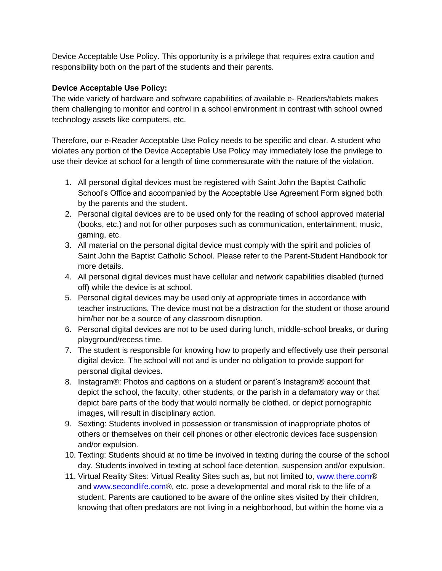Device Acceptable Use Policy. This opportunity is a privilege that requires extra caution and responsibility both on the part of the students and their parents.

#### **Device Acceptable Use Policy:**

The wide variety of hardware and software capabilities of available e- Readers/tablets makes them challenging to monitor and control in a school environment in contrast with school owned technology assets like computers, etc.

Therefore, our e-Reader Acceptable Use Policy needs to be specific and clear. A student who violates any portion of the Device Acceptable Use Policy may immediately lose the privilege to use their device at school for a length of time commensurate with the nature of the violation.

- 1. All personal digital devices must be registered with Saint John the Baptist Catholic School's Office and accompanied by the Acceptable Use Agreement Form signed both by the parents and the student.
- 2. Personal digital devices are to be used only for the reading of school approved material (books, etc.) and not for other purposes such as communication, entertainment, music, gaming, etc.
- 3. All material on the personal digital device must comply with the spirit and policies of Saint John the Baptist Catholic School. Please refer to the Parent-Student Handbook for more details.
- 4. All personal digital devices must have cellular and network capabilities disabled (turned off) while the device is at school.
- 5. Personal digital devices may be used only at appropriate times in accordance with teacher instructions. The device must not be a distraction for the student or those around him/her nor be a source of any classroom disruption.
- 6. Personal digital devices are not to be used during lunch, middle-school breaks, or during playground/recess time.
- 7. The student is responsible for knowing how to properly and effectively use their personal digital device. The school will not and is under no obligation to provide support for personal digital devices.
- 8. Instagram®: Photos and captions on a student or parent's Instagram® account that depict the school, the faculty, other students, or the parish in a defamatory way or that depict bare parts of the body that would normally be clothed, or depict pornographic images, will result in disciplinary action.
- 9. Sexting: Students involved in possession or transmission of inappropriate photos of others or themselves on their cell phones or other electronic devices face suspension and/or expulsion.
- 10. Texting: Students should at no time be involved in texting during the course of the school day. Students involved in texting at school face detention, suspension and/or expulsion.
- 11. Virtual Reality Sites: Virtual Reality Sites such as, but not limited to, www.there.com® and www.secondlife.com®, etc. pose a developmental and moral risk to the life of a student. Parents are cautioned to be aware of the online sites visited by their children, knowing that often predators are not living in a neighborhood, but within the home via a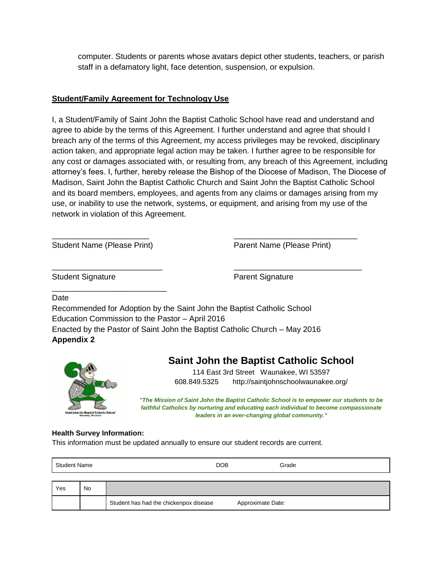computer. Students or parents whose avatars depict other students, teachers, or parish staff in a defamatory light, face detention, suspension, or expulsion.

#### **Student/Family Agreement for Technology Use**

I, a Student/Family of Saint John the Baptist Catholic School have read and understand and agree to abide by the terms of this Agreement. I further understand and agree that should I breach any of the terms of this Agreement, my access privileges may be revoked, disciplinary action taken, and appropriate legal action may be taken. I further agree to be responsible for any cost or damages associated with, or resulting from, any breach of this Agreement, including attorney's fees. I, further, hereby release the Bishop of the Diocese of Madison, The Diocese of Madison, Saint John the Baptist Catholic Church and Saint John the Baptist Catholic School and its board members, employees, and agents from any claims or damages arising from my use, or inability to use the network, systems, or equipment, and arising from my use of the network in violation of this Agreement.

\_\_\_\_\_\_\_\_\_\_\_\_\_\_\_\_\_\_\_\_\_\_ \_\_\_\_\_\_\_\_\_\_\_\_\_\_\_\_\_\_\_\_\_\_\_\_\_\_\_\_

\_\_\_\_\_\_\_\_\_\_\_\_\_\_\_\_\_\_\_\_\_\_\_\_\_ \_\_\_\_\_\_\_\_\_\_\_\_\_\_\_\_\_\_\_\_\_\_\_\_\_\_\_\_\_

Student Name (Please Print) Parent Name (Please Print)

\_\_\_\_\_\_\_\_\_\_\_\_\_\_\_\_\_\_\_\_\_\_\_\_\_\_

Student Signature **Parent Signature** Parent Signature

Date

Recommended for Adoption by the Saint John the Baptist Catholic School Education Commission to the Pastor – April 2016 Enacted by the Pastor of Saint John the Baptist Catholic Church – May 2016 **Appendix 2**



## **Saint John the Baptist Catholic School**

114 East 3rd Street Waunakee, WI 53597 608.849.5325 http://saintjohnschoolwaunakee.org/

*"The Mission of Saint John the Baptist Catholic School is to empower our students to be faithful Catholics by nurturing and educating each individual to become compassionate leaders in an ever-changing global community."*

#### **Health Survey Information:**

This information must be updated annually to ensure our student records are current.

| <b>Student Name</b> |    | <b>DOB</b><br>Grade                                         |
|---------------------|----|-------------------------------------------------------------|
| Yes                 | No |                                                             |
|                     |    | Student has had the chickenpox disease<br>Approximate Date: |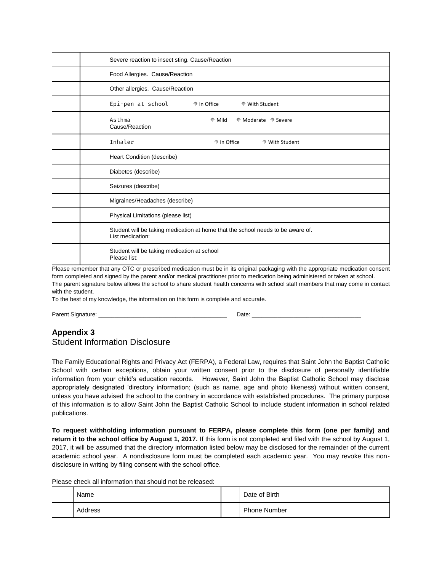| Severe reaction to insect sting. Cause/Reaction                                                     |
|-----------------------------------------------------------------------------------------------------|
| Food Allergies. Cause/Reaction                                                                      |
| Other allergies. Cause/Reaction                                                                     |
| Epi-pen at school<br>⊕ In Office<br><b>⊕ With Student</b>                                           |
| Asthma<br>$\#$ Moderate $\#$ Severe<br>⊕ Mild<br>Cause/Reaction                                     |
| Inhaler<br><b>⊕</b> In Office<br>⊕ With Student                                                     |
| Heart Condition (describe)                                                                          |
| Diabetes (describe)                                                                                 |
| Seizures (describe)                                                                                 |
| Migraines/Headaches (describe)                                                                      |
| Physical Limitations (please list)                                                                  |
| Student will be taking medication at home that the school needs to be aware of.<br>List medication: |
| Student will be taking medication at school<br>Please list:                                         |

Please remember that any OTC or prescribed medication must be in its original packaging with the appropriate medication consent form completed and signed by the parent and/or medical practitioner prior to medication being administered or taken at school. The parent signature below allows the school to share student health concerns with school staff members that may come in contact with the student.

To the best of my knowledge, the information on this form is complete and accurate.

Parent Signature: **Example 20** and  $\blacksquare$  Date:  $\blacksquare$ 

#### **Appendix 3** Student Information Disclosure

The Family Educational Rights and Privacy Act (FERPA), a Federal Law, requires that Saint John the Baptist Catholic School with certain exceptions, obtain your written consent prior to the disclosure of personally identifiable information from your child's education records. However, Saint John the Baptist Catholic School may disclose appropriately designated 'directory information; (such as name, age and photo likeness) without written consent, unless you have advised the school to the contrary in accordance with established procedures. The primary purpose of this information is to allow Saint John the Baptist Catholic School to include student information in school related publications.

**To request withholding information pursuant to FERPA, please complete this form (one per family) and return it to the school office by August 1, 2017.** If this form is not completed and filed with the school by August 1, 2017, it will be assumed that the directory information listed below may be disclosed for the remainder of the current academic school year. A nondisclosure form must be completed each academic year. You may revoke this nondisclosure in writing by filing consent with the school office.

Please check all information that should not be released:

| Name    | Date of Birth       |
|---------|---------------------|
| Address | <b>Phone Number</b> |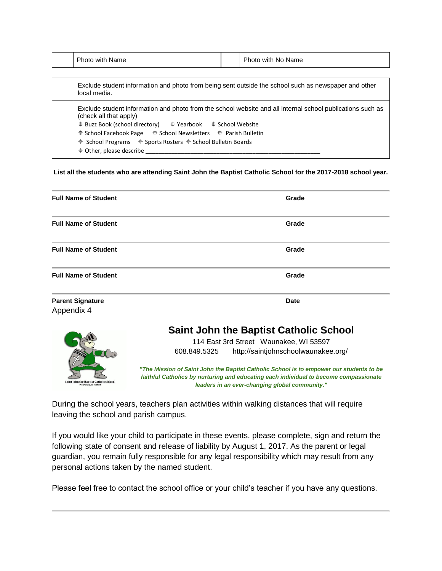| Photo with Name | Photo with No Name |
|-----------------|--------------------|
|                 |                    |

| Exclude student information and photo from being sent outside the school such as newspaper and other<br>local media.                                                                                                                                        |
|-------------------------------------------------------------------------------------------------------------------------------------------------------------------------------------------------------------------------------------------------------------|
| Exclude student information and photo from the school website and all internal school publications such as<br>(check all that apply)<br>$\oplus$ School Programs $\oplus$ Sports Rosters $\oplus$ School Bulletin Boards<br>$\oplus$ Other, please describe |
|                                                                                                                                                                                                                                                             |

**List all the students who are attending Saint John the Baptist Catholic School for the 2017-2018 school year.**

| <b>Full Name of Student</b> | Grade       |
|-----------------------------|-------------|
| <b>Full Name of Student</b> | Grade       |
| <b>Full Name of Student</b> | Grade       |
| <b>Full Name of Student</b> | Grade       |
| <b>Parent Signature</b>     | <b>Date</b> |

Appendix 4



### **Saint John the Baptist Catholic School**

114 East 3rd Street Waunakee, WI 53597 608.849.5325 http://saintjohnschoolwaunakee.org/

*"The Mission of Saint John the Baptist Catholic School is to empower our students to be faithful Catholics by nurturing and educating each individual to become compassionate leaders in an ever-changing global community."*

During the school years, teachers plan activities within walking distances that will require leaving the school and parish campus.

If you would like your child to participate in these events, please complete, sign and return the following state of consent and release of liability by August 1, 2017. As the parent or legal guardian, you remain fully responsible for any legal responsibility which may result from any personal actions taken by the named student.

Please feel free to contact the school office or your child's teacher if you have any questions.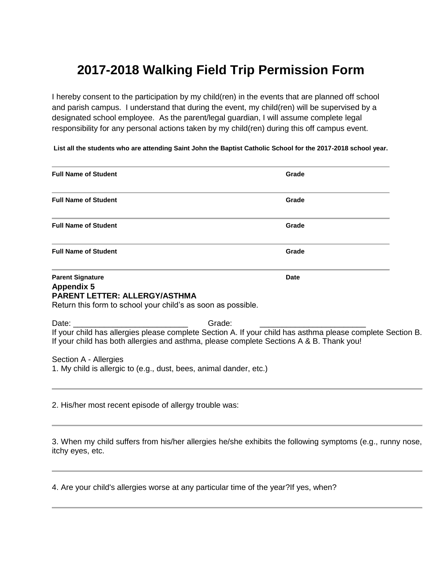## **2017-2018 Walking Field Trip Permission Form**

I hereby consent to the participation by my child(ren) in the events that are planned off school and parish campus. I understand that during the event, my child(ren) will be supervised by a designated school employee. As the parent/legal guardian, I will assume complete legal responsibility for any personal actions taken by my child(ren) during this off campus event.

**List all the students who are attending Saint John the Baptist Catholic School for the 2017-2018 school year.**

| <b>Full Name of Student</b>                                                                                                                                                                                                                                                                                                   | Grade                                                                                                                                                                                                           |
|-------------------------------------------------------------------------------------------------------------------------------------------------------------------------------------------------------------------------------------------------------------------------------------------------------------------------------|-----------------------------------------------------------------------------------------------------------------------------------------------------------------------------------------------------------------|
| <b>Full Name of Student</b>                                                                                                                                                                                                                                                                                                   | Grade                                                                                                                                                                                                           |
| <b>Full Name of Student</b>                                                                                                                                                                                                                                                                                                   | Grade                                                                                                                                                                                                           |
| <b>Full Name of Student</b>                                                                                                                                                                                                                                                                                                   | Grade                                                                                                                                                                                                           |
| <b>Parent Signature</b><br><b>Appendix 5</b><br><b>PARENT LETTER: ALLERGY/ASTHMA</b><br>Return this form to school your child's as soon as possible.                                                                                                                                                                          | <b>Date</b>                                                                                                                                                                                                     |
| Date: the contract of the contract of the contract of the contract of the contract of the contract of the contract of the contract of the contract of the contract of the contract of the contract of the contract of the cont<br>Section A - Allergies<br>1. My child is allergic to (e.g., dust, bees, animal dander, etc.) | Grade:<br>If your child has allergies please complete Section A. If your child has asthma please complete Section B.<br>If your child has both allergies and asthma, please complete Sections A & B. Thank you! |
| 2. His/her most recent episode of allergy trouble was:                                                                                                                                                                                                                                                                        |                                                                                                                                                                                                                 |
| itchy eyes, etc.                                                                                                                                                                                                                                                                                                              | 3. When my child suffers from his/her allergies he/she exhibits the following symptoms (e.g., runny nose,                                                                                                       |
|                                                                                                                                                                                                                                                                                                                               | 4. Are your child's allergies worse at any particular time of the year? If yes, when?                                                                                                                           |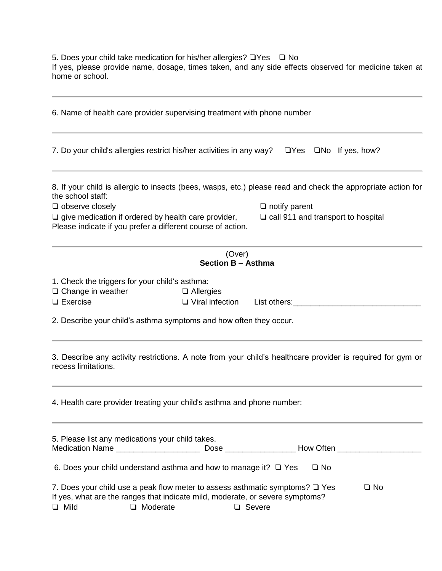5. Does your child take medication for his/her allergies? □Yes □ No If yes, please provide name, dosage, times taken, and any side effects observed for medicine taken at home or school.

| 6. Name of health care provider supervising treatment with phone number                                                                                                                              |                              |                                                                                                                                                                                                                                |                                           |
|------------------------------------------------------------------------------------------------------------------------------------------------------------------------------------------------------|------------------------------|--------------------------------------------------------------------------------------------------------------------------------------------------------------------------------------------------------------------------------|-------------------------------------------|
| 7. Do your child's allergies restrict his/her activities in any way? $\square$ Yes $\square$ No If yes, how?                                                                                         |                              |                                                                                                                                                                                                                                |                                           |
| 8. If your child is allergic to insects (bees, wasps, etc.) please read and check the appropriate action for<br>the school staff:                                                                    |                              |                                                                                                                                                                                                                                |                                           |
| $\Box$ observe closely                                                                                                                                                                               |                              | $\Box$ notify parent                                                                                                                                                                                                           |                                           |
| $\square$ give medication if ordered by health care provider,<br>Please indicate if you prefer a different course of action.                                                                         |                              |                                                                                                                                                                                                                                | $\Box$ call 911 and transport to hospital |
|                                                                                                                                                                                                      | (Over)<br>Section B - Asthma |                                                                                                                                                                                                                                |                                           |
|                                                                                                                                                                                                      |                              |                                                                                                                                                                                                                                |                                           |
| 1. Check the triggers for your child's asthma:                                                                                                                                                       |                              |                                                                                                                                                                                                                                |                                           |
| $\Box$ Change in weather                                                                                                                                                                             | $\Box$ Allergies             |                                                                                                                                                                                                                                |                                           |
| $\Box$ Exercise                                                                                                                                                                                      | $\Box$ Viral infection       | List others: Note that the set of the set of the set of the set of the set of the set of the set of the set of the set of the set of the set of the set of the set of the set of the set of the set of the set of the set of t |                                           |
| 2. Describe your child's asthma symptoms and how often they occur.                                                                                                                                   |                              |                                                                                                                                                                                                                                |                                           |
| 3. Describe any activity restrictions. A note from your child's healthcare provider is required for gym or<br>recess limitations.                                                                    |                              |                                                                                                                                                                                                                                |                                           |
| 4. Health care provider treating your child's asthma and phone number:                                                                                                                               |                              |                                                                                                                                                                                                                                |                                           |
| 5. Please list any medications your child takes.                                                                                                                                                     |                              |                                                                                                                                                                                                                                |                                           |
| 6. Does your child understand asthma and how to manage it? $\Box$ Yes                                                                                                                                |                              |                                                                                                                                                                                                                                | $\Box$ No                                 |
| 7. Does your child use a peak flow meter to assess asthmatic symptoms? $\Box$ Yes<br>If yes, what are the ranges that indicate mild, moderate, or severe symptoms?<br>$\Box$ Moderate<br>$\Box$ Mild |                              | □ Severe                                                                                                                                                                                                                       | $\square$ No                              |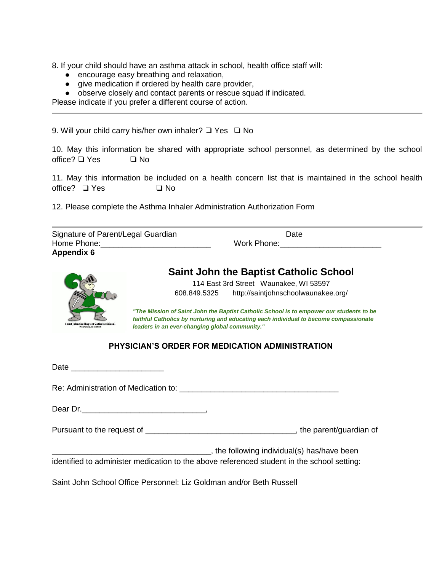8. If your child should have an asthma attack in school, health office staff will:

- encourage easy breathing and relaxation,
- give medication if ordered by health care provider,
- observe closely and contact parents or rescue squad if indicated.

Please indicate if you prefer a different course of action.

9. Will your child carry his/her own inhaler? □ Yes □ No

10. May this information be shared with appropriate school personnel, as determined by the school office? ❏ Yes ❏ No

11. May this information be included on a health concern list that is maintained in the school health office? ❏ Yes ❏ No

12. Please complete the Asthma Inhaler Administration Authorization Form

|                                                               | Signature of Parent/Legal Guardian             | Date                                                                                                                                                                             |
|---------------------------------------------------------------|------------------------------------------------|----------------------------------------------------------------------------------------------------------------------------------------------------------------------------------|
|                                                               |                                                |                                                                                                                                                                                  |
| <b>Appendix 6</b>                                             |                                                |                                                                                                                                                                                  |
|                                                               |                                                | <b>Saint John the Baptist Catholic School</b>                                                                                                                                    |
|                                                               |                                                | 114 East 3rd Street Waunakee, WI 53597                                                                                                                                           |
|                                                               |                                                | 608.849.5325 http://saintjohnschoolwaunakee.org/                                                                                                                                 |
| Saint John the Baptist Catholic School<br>Waunakee, Wisconsin | leaders in an ever-changing global community." | "The Mission of Saint John the Baptist Catholic School is to empower our students to be<br>faithful Catholics by nurturing and educating each individual to become compassionate |
|                                                               |                                                |                                                                                                                                                                                  |
|                                                               |                                                |                                                                                                                                                                                  |
|                                                               |                                                | PHYSICIAN'S ORDER FOR MEDICATION ADMINISTRATION                                                                                                                                  |
|                                                               |                                                |                                                                                                                                                                                  |
|                                                               |                                                |                                                                                                                                                                                  |
|                                                               |                                                |                                                                                                                                                                                  |
|                                                               |                                                |                                                                                                                                                                                  |
|                                                               |                                                |                                                                                                                                                                                  |
|                                                               |                                                |                                                                                                                                                                                  |
|                                                               |                                                |                                                                                                                                                                                  |
|                                                               |                                                |                                                                                                                                                                                  |
|                                                               |                                                | _________________________, the following individual(s) has/have been<br>identified to administer medication to the above referenced student in the school setting:               |

Saint John School Office Personnel: Liz Goldman and/or Beth Russell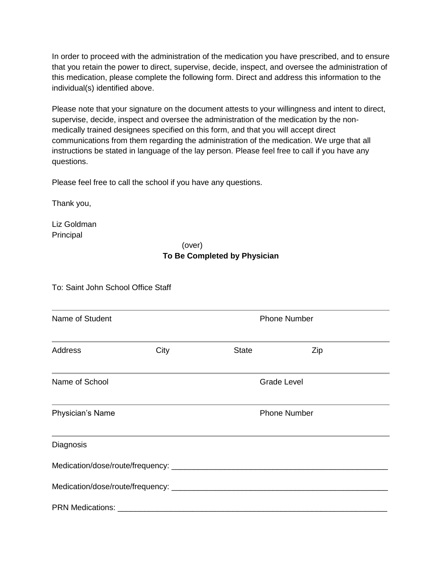In order to proceed with the administration of the medication you have prescribed, and to ensure that you retain the power to direct, supervise, decide, inspect, and oversee the administration of this medication, please complete the following form. Direct and address this information to the individual(s) identified above.

Please note that your signature on the document attests to your willingness and intent to direct, supervise, decide, inspect and oversee the administration of the medication by the nonmedically trained designees specified on this form, and that you will accept direct communications from them regarding the administration of the medication. We urge that all instructions be stated in language of the lay person. Please feel free to call if you have any questions.

Please feel free to call the school if you have any questions.

Thank you,

Liz Goldman Principal

(over)

#### **To Be Completed by Physician**

To: Saint John School Office Staff

| Name of Student                                                                                                                     |      | <b>Phone Number</b>                                                              |                     |  |
|-------------------------------------------------------------------------------------------------------------------------------------|------|----------------------------------------------------------------------------------|---------------------|--|
| Address                                                                                                                             | City | <b>State</b>                                                                     | Zip                 |  |
| Name of School                                                                                                                      |      | <b>Grade Level</b>                                                               |                     |  |
| the contract of the contract of the contract of the contract of the contract of the contract of the contract of<br>Physician's Name |      |                                                                                  | <b>Phone Number</b> |  |
| Diagnosis                                                                                                                           |      | ,我们也不会有什么?""我们的人,我们也不会有什么?""我们的人,我们也不会有什么?""我们的人,我们也不会有什么?""我们的人,我们也不会有什么?""我们的人 |                     |  |
|                                                                                                                                     |      |                                                                                  |                     |  |
|                                                                                                                                     |      | Medication/dose/route/frequency:                                                 |                     |  |
|                                                                                                                                     |      |                                                                                  |                     |  |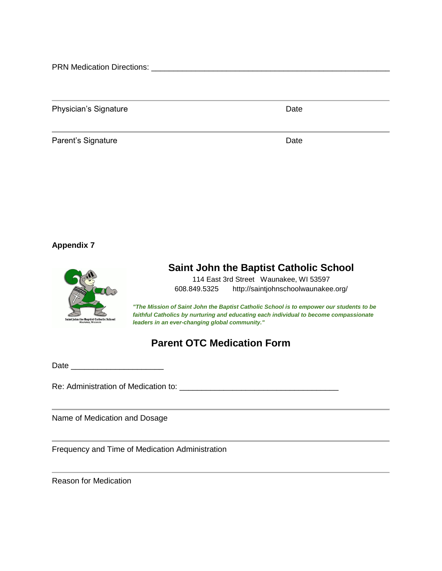PRN Medication Directions: \_\_\_\_\_\_\_\_\_\_\_\_\_\_\_\_\_\_\_\_\_\_\_\_\_\_\_\_\_\_\_\_\_\_\_\_\_\_\_\_\_\_\_\_\_\_\_\_\_\_\_\_\_\_

Physician's Signature **Date** Date **Date** 

Parent's Signature Date Date Date

#### **Appendix 7**



## **Saint John the Baptist Catholic School**

114 East 3rd Street Waunakee, WI 53597 608.849.5325 http://saintjohnschoolwaunakee.org/

*"The Mission of Saint John the Baptist Catholic School is to empower our students to be faithful Catholics by nurturing and educating each individual to become compassionate leaders in an ever-changing global community."*

## **Parent OTC Medication Form**

Date \_\_\_\_\_\_\_\_\_\_\_\_\_\_\_\_\_\_\_\_\_

Re: Administration of Medication to: \_\_\_\_\_\_\_\_\_\_\_\_\_\_\_\_\_\_\_\_\_\_\_\_\_\_\_\_\_\_\_\_\_\_\_\_

Name of Medication and Dosage

Frequency and Time of Medication Administration

Reason for Medication